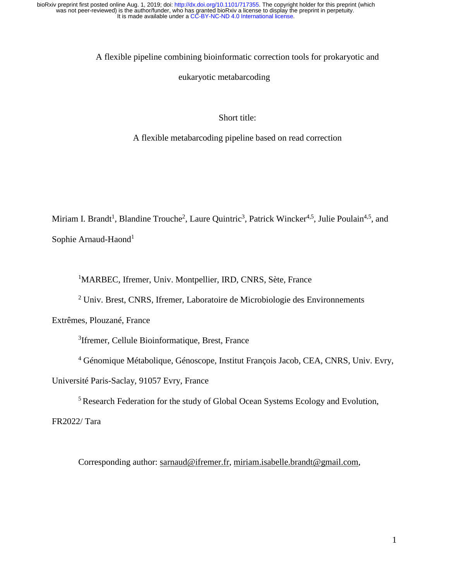A flexible pipeline combining bioinformatic correction tools for prokaryotic and

#### eukaryotic metabarcoding

## Short title:

A flexible metabarcoding pipeline based on read correction

Miriam I. Brandt<sup>1</sup>, Blandine Trouche<sup>2</sup>, Laure Quintric<sup>3</sup>, Patrick Wincker<sup>4,5</sup>, Julie Poulain<sup>4,5</sup>, and Sophie Arnaud-Haond<sup>1</sup>

<sup>1</sup>MARBEC, Ifremer, Univ. Montpellier, IRD, CNRS, Sète, France

<sup>2</sup> Univ. Brest, CNRS, Ifremer, Laboratoire de Microbiologie des Environnements

Extrêmes, Plouzané, France

<sup>3</sup>Ifremer, Cellule Bioinformatique, Brest, France

4 Génomique Métabolique, Génoscope, Institut François Jacob, CEA, CNRS, Univ. Evry,

Université Paris-Saclay, 91057 Evry, France

5 Research Federation for the study of Global Ocean Systems Ecology and Evolution,

FR2022/ Tara

Corresponding author: [sarnaud@ifremer.fr,](mailto:sarnaud@ifremer.fr) [miriam.isabelle.brandt@gmail.com,](mailto:miriam.isabelle.brandt@gmail.com)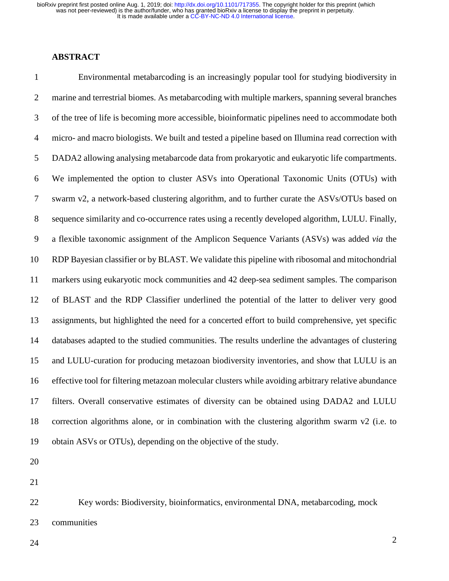#### **ABSTRACT**

1 Environmental metabarcoding is an increasingly popular tool for studying biodiversity in 2 marine and terrestrial biomes. As metabarcoding with multiple markers, spanning several branches 3 of the tree of life is becoming more accessible, bioinformatic pipelines need to accommodate both 4 micro- and macro biologists. We built and tested a pipeline based on Illumina read correction with 5 DADA2 allowing analysing metabarcode data from prokaryotic and eukaryotic life compartments. 6 We implemented the option to cluster ASVs into Operational Taxonomic Units (OTUs) with 7 swarm v2, a network-based clustering algorithm, and to further curate the ASVs/OTUs based on 8 sequence similarity and co-occurrence rates using a recently developed algorithm, LULU. Finally, 9 a flexible taxonomic assignment of the Amplicon Sequence Variants (ASVs) was added *via* the 10 RDP Bayesian classifier or by BLAST. We validate this pipeline with ribosomal and mitochondrial 11 markers using eukaryotic mock communities and 42 deep-sea sediment samples. The comparison 12 of BLAST and the RDP Classifier underlined the potential of the latter to deliver very good 13 assignments, but highlighted the need for a concerted effort to build comprehensive, yet specific 14 databases adapted to the studied communities. The results underline the advantages of clustering 15 and LULU-curation for producing metazoan biodiversity inventories, and show that LULU is an 16 effective tool for filtering metazoan molecular clusters while avoiding arbitrary relative abundance 17 filters. Overall conservative estimates of diversity can be obtained using DADA2 and LULU 18 correction algorithms alone, or in combination with the clustering algorithm swarm v2 (i.e. to 19 obtain ASVs or OTUs), depending on the objective of the study.

20

21

22 Key words: Biodiversity, bioinformatics, environmental DNA, metabarcoding, mock 23 communities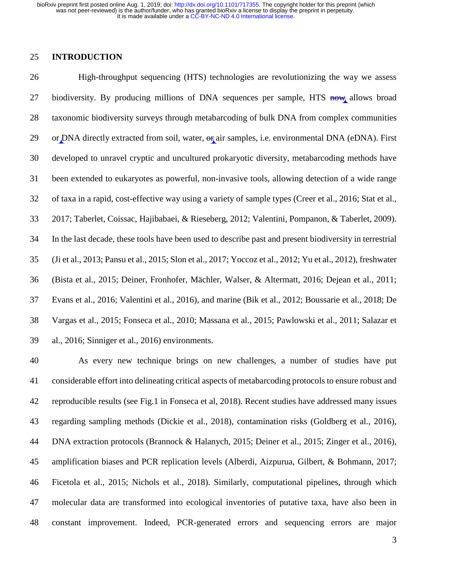## 25 **INTRODUCTION**

26 High-throughput sequencing (HTS) technologies are revolutionizing the way we assess 27 biodiversity. By producing millions of DNA sequences per sample, HTS now allows broad 28 taxonomic biodiversity surveys through metabarcoding of bulk DNA from complex communities 29 or DNA directly extracted from soil, water,  $\Theta$  air samples, i.e. environmental DNA (eDNA). First 30 developed to unravel cryptic and uncultured prokaryotic diversity, metabarcoding methods have 31 been extended to eukaryotes as powerful, non-invasive tools, allowing detection of a wide range 32 of taxa in a rapid, cost-effective way using a variety of sample types (Creer et al., 2016; Stat et al., 33 2017; Taberlet, Coissac, Hajibabaei, & Rieseberg, 2012; Valentini, Pompanon, & Taberlet, 2009). 34 In the last decade, these tools have been used to describe past and present biodiversity in terrestrial 35 (Ji et al., 2013; Pansu et al., 2015; Slon et al., 2017; Yoccoz et al., 2012; Yu et al., 2012), freshwater 36 (Bista et al., 2015; Deiner, Fronhofer, Mächler, Walser, & Altermatt, 2016; Dejean et al., 2011; 37 Evans et al., 2016; Valentini et al., 2016), and marine (Bik et al., 2012; Boussarie et al., 2018; De 38 Vargas et al., 2015; Fonseca et al., 2010; Massana et al., 2015; Pawlowski et al., 2011; Salazar et 39 al., 2016; Sinniger et al., 2016) environments.

40 As every new technique brings on new challenges, a number of studies have put 41 considerable effort into delineating critical aspects of metabarcoding protocols to ensure robust and 42 reproducible results (see Fig.1 in Fonseca et al, 2018). Recent studies have addressed many issues 43 regarding sampling methods (Dickie et al., 2018), contamination risks (Goldberg et al., 2016), 44 DNA extraction protocols (Brannock & Halanych, 2015; Deiner et al., 2015; Zinger et al., 2016), 45 amplification biases and PCR replication levels (Alberdi, Aizpurua, Gilbert, & Bohmann, 2017; 46 Ficetola et al., 2015; Nichols et al., 2018). Similarly, computational pipelines, through which 47 molecular data are transformed into ecological inventories of putative taxa, have also been in 48 constant improvement. Indeed, PCR-generated errors and sequencing errors are major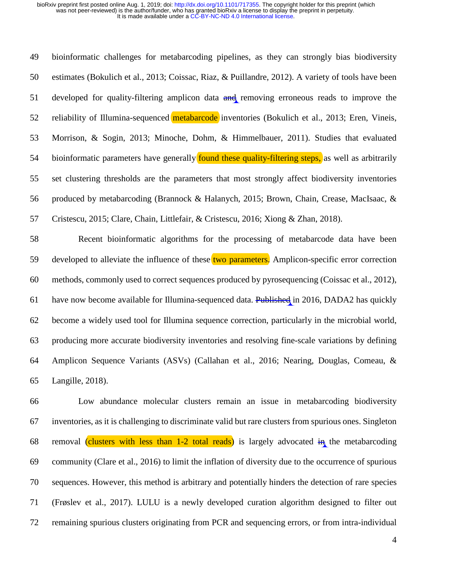49 bioinformatic challenges for metabarcoding pipelines, as they can strongly bias biodiversity 50 estimates (Bokulich et al., 2013; Coissac, Riaz, & Puillandre, 2012). A variety of tools have been 51 developed for quality-filtering amplicon data and removing erroneous reads to improve the 52 reliability of Illumina-sequenced **metabarcode** inventories (Bokulich et al., 2013; Eren, Vineis, 53 Morrison, & Sogin, 2013; Minoche, Dohm, & Himmelbauer, 2011). Studies that evaluated 54 bioinformatic parameters have generally **found these quality-filtering steps**, as well as arbitrarily 55 set clustering thresholds are the parameters that most strongly affect biodiversity inventories 56 produced by metabarcoding (Brannock & Halanych, 2015; Brown, Chain, Crease, MacIsaac, & 57 Cristescu, 2015; Clare, Chain, Littlefair, & Cristescu, 2016; Xiong & Zhan, 2018).

58 Recent bioinformatic algorithms for the processing of metabarcode data have been 59 developed to alleviate the influence of these two parameters. Amplicon-specific error correction 60 methods, commonly used to correct sequences produced by pyrosequencing (Coissac et al., 2012), 61 have now become available for Illumina-sequenced data. Published in 2016, DADA2 has quickly 62 become a widely used tool for Illumina sequence correction, particularly in the microbial world, 63 producing more accurate biodiversity inventories and resolving fine-scale variations by defining 64 Amplicon Sequence Variants (ASVs) (Callahan et al., 2016; Nearing, Douglas, Comeau, & 65 Langille, 2018).

66 Low abundance molecular clusters remain an issue in metabarcoding biodiversity 67 inventories, as it is challenging to discriminate valid but rare clusters from spurious ones. Singleton 68 removal (clusters with less than  $1-2$  total reads) is largely advocated  $\frac{1}{2}$  the metabarcoding 69 community (Clare et al., 2016) to limit the inflation of diversity due to the occurrence of spurious 70 sequences. However, this method is arbitrary and potentially hinders the detection of rare species 71 (Frøslev et al., 2017). LULU is a newly developed curation algorithm designed to filter out 72 remaining spurious clusters originating from PCR and sequencing errors, or from intra-individual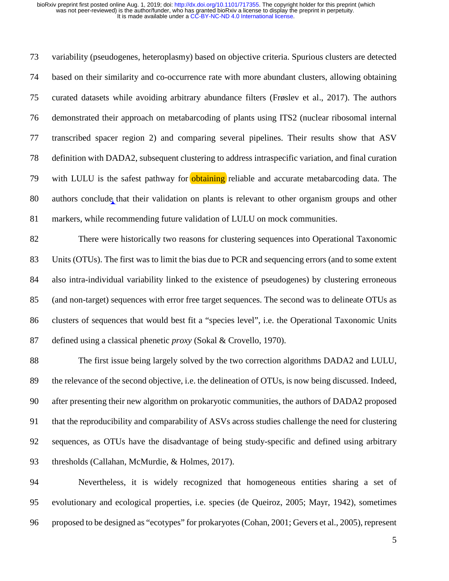73 variability (pseudogenes, heteroplasmy) based on objective criteria. Spurious clusters are detected 74 based on their similarity and co-occurrence rate with more abundant clusters, allowing obtaining 75 curated datasets while avoiding arbitrary abundance filters (Frøslev et al., 2017). The authors 76 demonstrated their approach on metabarcoding of plants using ITS2 (nuclear ribosomal internal 77 transcribed spacer region 2) and comparing several pipelines. Their results show that ASV 78 definition with DADA2, subsequent clustering to address intraspecific variation, and final curation 79 with LULU is the safest pathway for obtaining reliable and accurate metabarcoding data. The 80 authors conclude that their validation on plants is relevant to other organism groups and other 81 markers, while recommending future validation of LULU on mock communities.

82 There were historically two reasons for clustering sequences into Operational Taxonomic 83 Units (OTUs). The first was to limit the bias due to PCR and sequencing errors (and to some extent 84 also intra-individual variability linked to the existence of pseudogenes) by clustering erroneous 85 (and non-target) sequences with error free target sequences. The second was to delineate OTUs as 86 clusters of sequences that would best fit a "species level", i.e. the Operational Taxonomic Units 87 defined using a classical phenetic *proxy* (Sokal & Crovello, 1970).

88 The first issue being largely solved by the two correction algorithms DADA2 and LULU, 89 the relevance of the second objective, i.e. the delineation of OTUs, is now being discussed. Indeed, 90 after presenting their new algorithm on prokaryotic communities, the authors of DADA2 proposed 91 that the reproducibility and comparability of ASVs across studies challenge the need for clustering 92 sequences, as OTUs have the disadvantage of being study-specific and defined using arbitrary 93 thresholds (Callahan, McMurdie, & Holmes, 2017).

94 Nevertheless, it is widely recognized that homogeneous entities sharing a set of 95 evolutionary and ecological properties, i.e. species (de Queiroz, 2005; Mayr, 1942), sometimes 96 proposed to be designed as "ecotypes" for prokaryotes (Cohan, 2001; Gevers et al., 2005), represent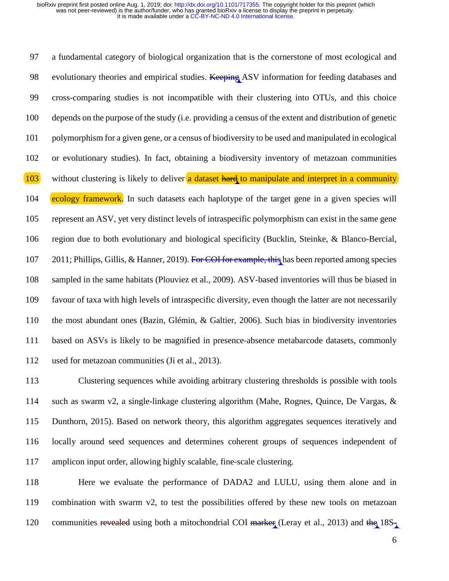97 a fundamental category of biological organization that is the cornerstone of most ecological and 98 evolutionary theories and empirical studies. Keeping ASV information for feeding databases and 99 cross-comparing studies is not incompatible with their clustering into OTUs, and this choice 100 depends on the purpose of the study (i.e. providing a census of the extent and distribution of genetic 101 polymorphism for a given gene, or a census of biodiversity to be used and manipulated in ecological 102 or evolutionary studies). In fact, obtaining a biodiversity inventory of metazoan communities 103 without clustering is likely to deliver a dataset hard to manipulate and interpret in a community 104 ecology framework. In such datasets each haplotype of the target gene in a given species will 105 represent an ASV, yet very distinct levels of intraspecific polymorphism can exist in the same gene 106 region due to both evolutionary and biological specificity (Bucklin, Steinke, & Blanco-Bercial, 107 2011; Phillips, Gillis, & Hanner, 2019). For COI for example, this has been reported among species 108 sampled in the same habitats (Plouviez et al., 2009). ASV-based inventories will thus be biased in 109 favour of taxa with high levels of intraspecific diversity, even though the latter are not necessarily 110 the most abundant ones (Bazin, Glémin, & Galtier, 2006). Such bias in biodiversity inventories 111 based on ASVs is likely to be magnified in presence-absence metabarcode datasets, commonly 112 used for metazoan communities (Ji et al., 2013).

113 Clustering sequences while avoiding arbitrary clustering thresholds is possible with tools 114 such as swarm v2, a single-linkage clustering algorithm (Mahe, Rognes, Quince, De Vargas, & 115 Dunthorn, 2015). Based on network theory, this algorithm aggregates sequences iteratively and 116 locally around seed sequences and determines coherent groups of sequences independent of 117 amplicon input order, allowing highly scalable, fine-scale clustering.

118 Here we evaluate the performance of DADA2 and LULU, using them alone and in 119 combination with swarm v2, to test the possibilities offered by these new tools on metazoan 120 communities revealed using both a mitochondrial COI marker (Leray et al., 2013) and the  $18S<sub>1</sub>$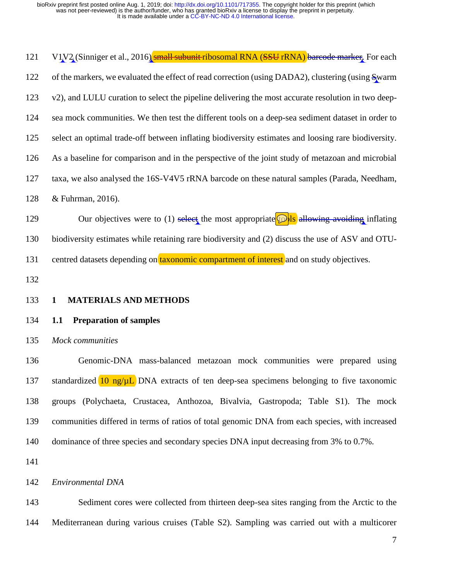| 121        | V1V2 (Sinniger et al., 2016) small subunit ribosomal RNA (SSU rRNA) bareode marker. For each        |
|------------|-----------------------------------------------------------------------------------------------------|
| 122        | of the markers, we evaluated the effect of read correction (using DADA2), clustering (using Swarm   |
| 123        | v2), and LULU curation to select the pipeline delivering the most accurate resolution in two deep-  |
| 124        | sea mock communities. We then test the different tools on a deep-sea sediment dataset in order to   |
| 125        | select an optimal trade-off between inflating biodiversity estimates and loosing rare biodiversity. |
| 126        | As a baseline for comparison and in the perspective of the joint study of metazoan and microbial    |
| 127        | taxa, we also analysed the 16S-V4V5 rRNA barcode on these natural samples (Parada, Needham,         |
| 128        | & Fuhrman, 2016).                                                                                   |
| 129        | Our objectives were to (1) select the most appropriate $\int$ Is allowing avoiding inflating        |
| 130        | biodiversity estimates while retaining rare biodiversity and (2) discuss the use of ASV and OTU-    |
| 131        | centred datasets depending on <b>taxonomic compartment of interest</b> and on study objectives.     |
| 132        |                                                                                                     |
|            |                                                                                                     |
| 133        | <b>MATERIALS AND METHODS</b><br>$\mathbf{1}$                                                        |
| 134        | <b>Preparation of samples</b><br>1.1                                                                |
| 135        | Mock communities                                                                                    |
| 136        | Genomic-DNA mass-balanced metazoan mock communities were prepared using                             |
|            | standardized $10$ ng/ $\mu$ L. DNA extracts of ten deep-sea specimens belonging to five taxonomic   |
| 137<br>138 | groups (Polychaeta, Crustacea, Anthozoa, Bivalvia, Gastropoda; Table S1). The mock                  |
| 139        | communities differed in terms of ratios of total genomic DNA from each species, with increased      |
| 140        | dominance of three species and secondary species DNA input decreasing from 3% to 0.7%.              |
| 141        |                                                                                                     |
| 142        | Environmental DNA                                                                                   |
| 143        | Sediment cores were collected from thirteen deep-sea sites ranging from the Arctic to the           |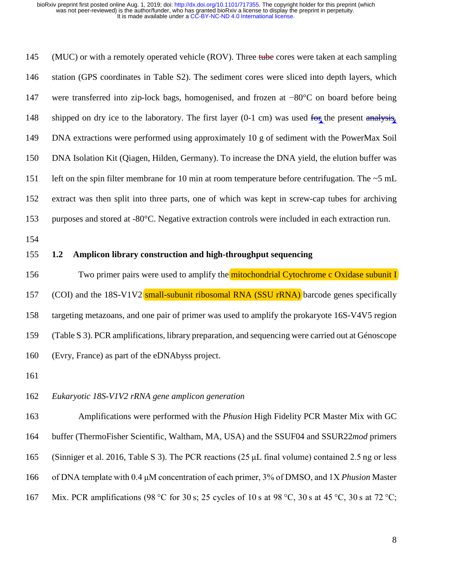145 (MUC) or with a remotely operated vehicle (ROV). Three tube cores were taken at each sampling 146 station (GPS coordinates in Table S2). The sediment cores were sliced into depth layers, which 147 were transferred into zip-lock bags, homogenised, and frozen at −80°C on board before being 148 shipped on dry ice to the laboratory. The first layer (0-1 cm) was used for the present analysis. 149 DNA extractions were performed using approximately 10 g of sediment with the PowerMax Soil 150 DNA Isolation Kit (Qiagen, Hilden, Germany). To increase the DNA yield, the elution buffer was 151 left on the spin filter membrane for 10 min at room temperature before centrifugation. The ~5 mL 152 extract was then split into three parts, one of which was kept in screw-cap tubes for archiving 153 purposes and stored at -80°C. Negative extraction controls were included in each extraction run.

154

## 155 **1.2 Amplicon library construction and high-throughput sequencing**

156 Two primer pairs were used to amplify the mitochondrial Cytochrome c Oxidase subunit I 157 (COI) and the 18S-V1V2 small-subunit ribosomal RNA (SSU rRNA) barcode genes specifically 158 targeting metazoans, and one pair of primer was used to amplify the prokaryote 16S-V4V5 region 159 (Table S 3). PCR amplifications, library preparation, and sequencing were carried out at Génoscope 160 (Evry, France) as part of the eDNAbyss project.

161

# 162 *Eukaryotic 18S-V1V2 rRNA gene amplicon generation*

163 Amplifications were performed with the *Phusion* High Fidelity PCR Master Mix with GC 164 buffer (ThermoFisher Scientific, Waltham, MA, USA) and the SSUF04 and SSUR22*mod* primers 165 (Sinniger et al. 2016, Table S 3). The PCR reactions (25 μL final volume) contained 2.5 ng or less 166 of DNA template with 0.4 μM concentration of each primer, 3% of DMSO, and 1X *Phusion* Master 167 Mix. PCR amplifications (98 °C for 30 s; 25 cycles of 10 s at 98 °C, 30 s at 45 °C, 30 s at 72 °C;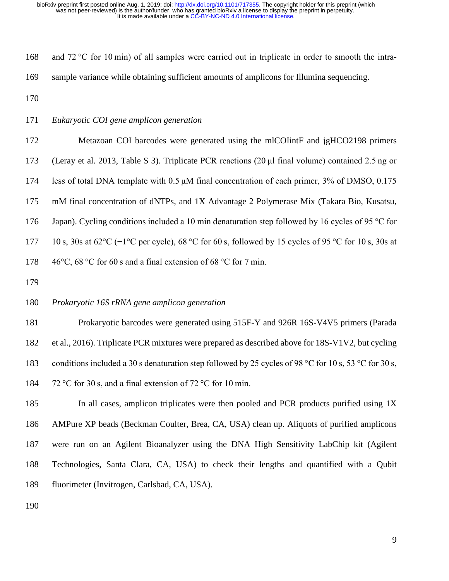168 and 72 °C for 10 min) of all samples were carried out in triplicate in order to smooth the intra-169 sample variance while obtaining sufficient amounts of amplicons for Illumina sequencing.

170

171 *Eukaryotic COI gene amplicon generation*

172 Metazoan COI barcodes were generated using the mlCOIintF and jgHCO2198 primers 173 (Leray et al. 2013, Table S 3). Triplicate PCR reactions (20 μl final volume) contained 2.5 ng or 174 less of total DNA template with 0.5 μM final concentration of each primer, 3% of DMSO, 0.175 175 mM final concentration of dNTPs, and 1X Advantage 2 Polymerase Mix (Takara Bio, Kusatsu, 176 Japan). Cycling conditions included a 10 min denaturation step followed by 16 cycles of 95 °C for 177 10 s, 30s at 62°C (−1°C per cycle), 68 °C for 60 s, followed by 15 cycles of 95 °C for 10 s, 30s at 178 46°C, 68 °C for 60 s and a final extension of 68 °C for 7 min.

179

## 180 *Prokaryotic 16S rRNA gene amplicon generation*

181 Prokaryotic barcodes were generated using 515F-Y and 926R 16S-V4V5 primers (Parada

182 et al., 2016). Triplicate PCR mixtures were prepared as described above for 18S-V1V2, but cycling 183 conditions included a 30 s denaturation step followed by 25 cycles of 98 °C for 10 s, 53 °C for 30 s,

184 72 °C for 30 s, and a final extension of 72 °C for 10 min.

185 In all cases, amplicon triplicates were then pooled and PCR products purified using 1X 186 AMPure XP beads (Beckman Coulter, Brea, CA, USA) clean up. Aliquots of purified amplicons 187 were run on an Agilent Bioanalyzer using the DNA High Sensitivity LabChip kit (Agilent 188 Technologies, Santa Clara, CA, USA) to check their lengths and quantified with a Qubit 189 fluorimeter (Invitrogen, Carlsbad, CA, USA).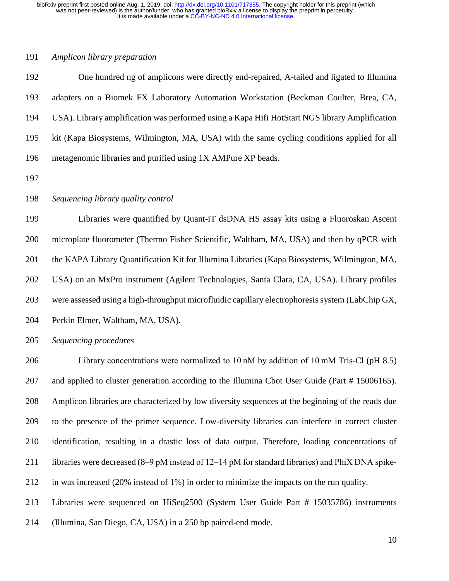#### 191 *Amplicon library preparation*

192 One hundred ng of amplicons were directly end-repaired, A-tailed and ligated to Illumina 193 adapters on a Biomek FX Laboratory Automation Workstation (Beckman Coulter, Brea, CA, 194 USA). Library amplification was performed using a Kapa Hifi HotStart NGS library Amplification 195 kit (Kapa Biosystems, Wilmington, MA, USA) with the same cycling conditions applied for all 196 metagenomic libraries and purified using 1X AMPure XP beads.

197

## 198 *Sequencing library quality control*

199 Libraries were quantified by Quant-iT dsDNA HS assay kits using a Fluoroskan Ascent 200 microplate fluorometer (Thermo Fisher Scientific, Waltham, MA, USA) and then by qPCR with 201 the KAPA Library Quantification Kit for Illumina Libraries (Kapa Biosystems, Wilmington, MA, 202 USA) on an MxPro instrument (Agilent Technologies, Santa Clara, CA, USA). Library profiles 203 were assessed using a high-throughput microfluidic capillary electrophoresis system (LabChip GX, 204 Perkin Elmer, Waltham, MA, USA).

205 *Sequencing procedures* 

206 Library concentrations were normalized to 10 nM by addition of 10 mM Tris-Cl (pH 8.5) 207 and applied to cluster generation according to the Illumina Cbot User Guide (Part # 15006165). 208 Amplicon libraries are characterized by low diversity sequences at the beginning of the reads due 209 to the presence of the primer sequence. Low-diversity libraries can interfere in correct cluster 210 identification, resulting in a drastic loss of data output. Therefore, loading concentrations of 211 libraries were decreased (8–9 pM instead of 12–14 pM for standard libraries) and PhiX DNA spike-212 in was increased (20% instead of 1%) in order to minimize the impacts on the run quality. 213 Libraries were sequenced on HiSeq2500 (System User Guide Part # 15035786) instruments

214 (Illumina, San Diego, CA, USA) in a 250 bp paired-end mode.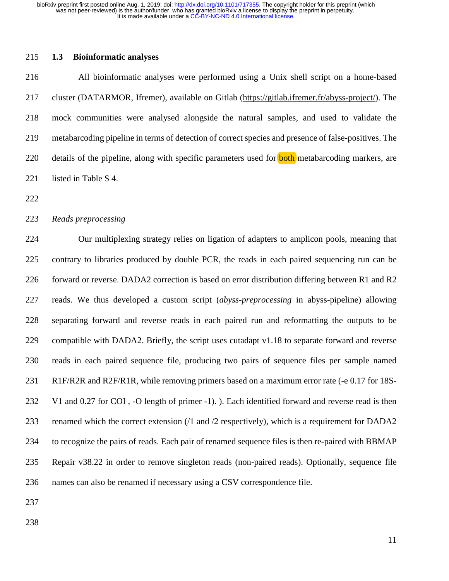## 215 **1.3 Bioinformatic analyses**

216 All bioinformatic analyses were performed using a Unix shell script on a home-based 217 cluster (DATARMOR, Ifremer), available on Gitlab (https://gitlab.ifremer.fr/abyss-project/). The 218 mock communities were analysed alongside the natural samples, and used to validate the 219 metabarcoding pipeline in terms of detection of correct species and presence of false-positives. The 220 details of the pipeline, along with specific parameters used for **both** metabarcoding markers, are 221 listed in Table S 4.

222

## 223 *Reads preprocessing*

224 Our multiplexing strategy relies on ligation of adapters to amplicon pools, meaning that 225 contrary to libraries produced by double PCR, the reads in each paired sequencing run can be 226 forward or reverse. DADA2 correction is based on error distribution differing between R1 and R2 227 reads. We thus developed a custom script (*abyss-preprocessing* in abyss-pipeline) allowing 228 separating forward and reverse reads in each paired run and reformatting the outputs to be 229 compatible with DADA2. Briefly, the script uses cutadapt v1.18 to separate forward and reverse 230 reads in each paired sequence file, producing two pairs of sequence files per sample named 231 R1F/R2R and R2F/R1R, while removing primers based on a maximum error rate (-e 0.17 for 18S-232 V1 and 0.27 for COI , -O length of primer -1). ). Each identified forward and reverse read is then 233 renamed which the correct extension (/1 and /2 respectively), which is a requirement for DADA2 234 to recognize the pairs of reads. Each pair of renamed sequence files is then re-paired with BBMAP 235 Repair v38.22 in order to remove singleton reads (non-paired reads). Optionally, sequence file 236 names can also be renamed if necessary using a CSV correspondence file.

237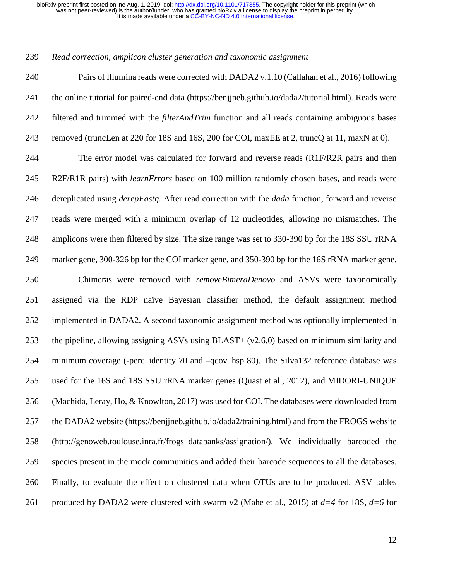#### 239 *Read correction, amplicon cluster generation and taxonomic assignment*

240 Pairs of Illumina reads were corrected with DADA2 v.1.10 (Callahan et al., 2016) following 241 the online tutorial for paired-end data (https://benjjneb.github.io/dada2/tutorial.html). Reads were 242 filtered and trimmed with the *filterAndTrim* function and all reads containing ambiguous bases 243 removed (truncLen at 220 for 18S and 16S, 200 for COI, maxEE at 2, truncQ at 11, maxN at 0). 244 The error model was calculated for forward and reverse reads (R1F/R2R pairs and then 245 R2F/R1R pairs) with *learnErrors* based on 100 million randomly chosen bases, and reads were 246 dereplicated using *derepFastq*. After read correction with the *dada* function, forward and reverse 247 reads were merged with a minimum overlap of 12 nucleotides, allowing no mismatches. The 248 amplicons were then filtered by size. The size range was set to 330-390 bp for the 18S SSU rRNA 249 marker gene, 300-326 bp for the COI marker gene, and 350-390 bp for the 16S rRNA marker gene. 250 Chimeras were removed with *removeBimeraDenovo* and ASVs were taxonomically 251 assigned via the RDP naïve Bayesian classifier method, the default assignment method 252 implemented in DADA2. A second taxonomic assignment method was optionally implemented in 253 the pipeline, allowing assigning ASVs using BLAST+ (v2.6.0) based on minimum similarity and 254 minimum coverage (-perc identity 70 and –qcov hsp 80). The Silva132 reference database was 255 used for the 16S and 18S SSU rRNA marker genes (Quast et al., 2012), and MIDORI-UNIQUE 256 (Machida, Leray, Ho, & Knowlton, 2017) was used for COI. The databases were downloaded from 257 the DADA2 website (https://benjjneb.github.io/dada2/training.html) and from the FROGS website 258 (http://genoweb.toulouse.inra.fr/frogs\_databanks/assignation/). We individually barcoded the 259 species present in the mock communities and added their barcode sequences to all the databases. 260 Finally, to evaluate the effect on clustered data when OTUs are to be produced, ASV tables 261 produced by DADA2 were clustered with swarm v2 (Mahe et al., 2015) at *d=4* for 18S, *d=6* for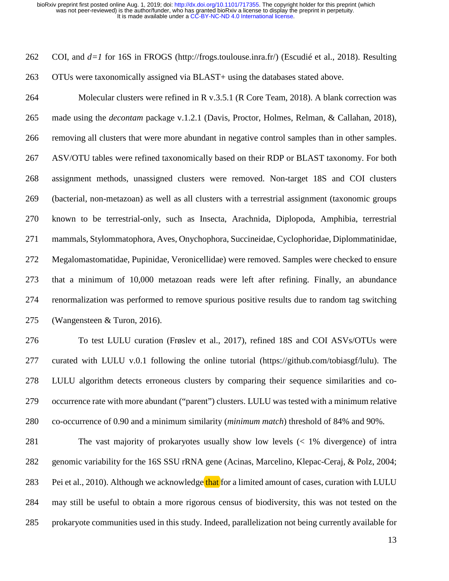262 COI, and *d=1* for 16S in FROGS (http://frogs.toulouse.inra.fr/) (Escudié et al., 2018). Resulting 263 OTUs were taxonomically assigned via BLAST+ using the databases stated above. 264 Molecular clusters were refined in R v.3.5.1 (R Core Team, 2018). A blank correction was 265 made using the *decontam* package v.1.2.1 (Davis, Proctor, Holmes, Relman, & Callahan, 2018), 266 removing all clusters that were more abundant in negative control samples than in other samples. 267 ASV/OTU tables were refined taxonomically based on their RDP or BLAST taxonomy. For both 268 assignment methods, unassigned clusters were removed. Non-target 18S and COI clusters 269 (bacterial, non-metazoan) as well as all clusters with a terrestrial assignment (taxonomic groups 270 known to be terrestrial-only, such as Insecta, Arachnida, Diplopoda, Amphibia, terrestrial 271 mammals, Stylommatophora, Aves, Onychophora, Succineidae, Cyclophoridae, Diplommatinidae, 272 Megalomastomatidae, Pupinidae, Veronicellidae) were removed. Samples were checked to ensure 273 that a minimum of 10,000 metazoan reads were left after refining. Finally, an abundance 274 renormalization was performed to remove spurious positive results due to random tag switching 275 (Wangensteen & Turon, 2016). 276 To test LULU curation (Frøslev et al., 2017), refined 18S and COI ASVs/OTUs were 277 curated with LULU v.0.1 following the online tutorial (https://github.com/tobiasgf/lulu). The 278 LULU algorithm detects erroneous clusters by comparing their sequence similarities and co-279 occurrence rate with more abundant ("parent") clusters. LULU was tested with a minimum relative 280 co-occurrence of 0.90 and a minimum similarity (*minimum match*) threshold of 84% and 90%. 281 The vast majority of prokaryotes usually show low levels (< 1% divergence) of intra 282 genomic variability for the 16S SSU rRNA gene (Acinas, Marcelino, Klepac-Ceraj, & Polz, 2004;

284 may still be useful to obtain a more rigorous census of biodiversity, this was not tested on the

283 Pei et al., 2010). Although we acknowledge that for a limited amount of cases, curation with LULU

285 prokaryote communities used in this study. Indeed, parallelization not being currently available for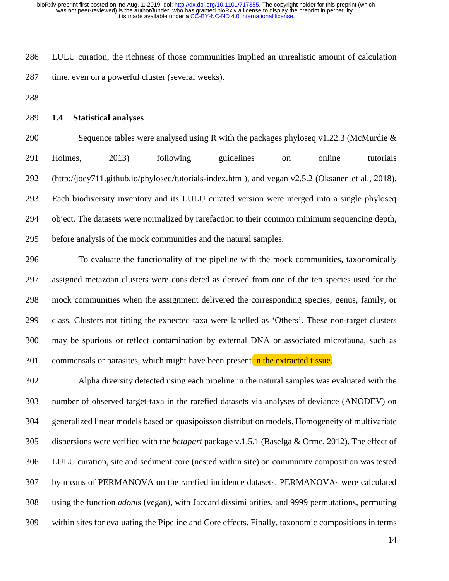286 LULU curation, the richness of those communities implied an unrealistic amount of calculation 287 time, even on a powerful cluster (several weeks).

- 288
- 289 **1.4 Statistical analyses**

290 Sequence tables were analysed using R with the packages phyloseq v1.22.3 (McMurdie  $\&$ 291 Holmes, 2013) following guidelines on online tutorials 292 (http://joey711.github.io/phyloseq/tutorials-index.html), and vegan v2.5.2 (Oksanen et al., 2018). 293 Each biodiversity inventory and its LULU curated version were merged into a single phyloseq 294 object. The datasets were normalized by rarefaction to their common minimum sequencing depth, 295 before analysis of the mock communities and the natural samples.

296 To evaluate the functionality of the pipeline with the mock communities, taxonomically 297 assigned metazoan clusters were considered as derived from one of the ten species used for the 298 mock communities when the assignment delivered the corresponding species, genus, family, or 299 class. Clusters not fitting the expected taxa were labelled as 'Others'. These non-target clusters 300 may be spurious or reflect contamination by external DNA or associated microfauna, such as 301 commensals or parasites, which might have been present in the extracted tissue.

302 Alpha diversity detected using each pipeline in the natural samples was evaluated with the 303 number of observed target-taxa in the rarefied datasets via analyses of deviance (ANODEV) on 304 generalized linear models based on quasipoisson distribution models. Homogeneity of multivariate 305 dispersions were verified with the *betapart* package v.1.5.1 (Baselga & Orme, 2012). The effect of 306 LULU curation, site and sediment core (nested within site) on community composition was tested 307 by means of PERMANOVA on the rarefied incidence datasets. PERMANOVAs were calculated 308 using the function *adoni*s (vegan), with Jaccard dissimilarities, and 9999 permutations, permuting 309 within sites for evaluating the Pipeline and Core effects. Finally, taxonomic compositions in terms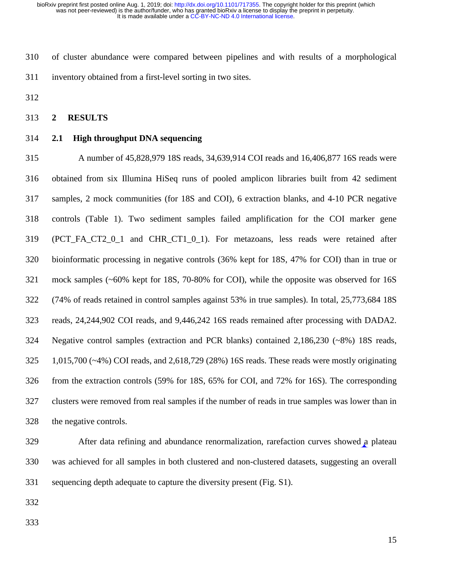310 of cluster abundance were compared between pipelines and with results of a morphological 311 inventory obtained from a first-level sorting in two sites.

312

#### 313 **2 RESULTS**

314 **2.1 High throughput DNA sequencing**

315 A number of 45,828,979 18S reads, 34,639,914 COI reads and 16,406,877 16S reads were 316 obtained from six Illumina HiSeq runs of pooled amplicon libraries built from 42 sediment 317 samples, 2 mock communities (for 18S and COI), 6 extraction blanks, and 4-10 PCR negative 318 controls (Table 1). Two sediment samples failed amplification for the COI marker gene 319 (PCT\_FA\_CT2\_0\_1 and CHR\_CT1\_0\_1). For metazoans, less reads were retained after 320 bioinformatic processing in negative controls (36% kept for 18S, 47% for COI) than in true or 321 mock samples (~60% kept for 18S, 70-80% for COI), while the opposite was observed for 16S 322 (74% of reads retained in control samples against 53% in true samples). In total, 25,773,684 18S 323 reads, 24,244,902 COI reads, and 9,446,242 16S reads remained after processing with DADA2. 324 Negative control samples (extraction and PCR blanks) contained 2,186,230 (~8%) 18S reads, 325 1,015,700 (~4%) COI reads, and 2,618,729 (28%) 16S reads. These reads were mostly originating 326 from the extraction controls (59% for 18S, 65% for COI, and 72% for 16S). The corresponding 327 clusters were removed from real samples if the number of reads in true samples was lower than in 328 the negative controls.

329 After data refining and abundance renormalization, rarefaction curves showed a plateau 330 was achieved for all samples in both clustered and non-clustered datasets, suggesting an overall 331 sequencing depth adequate to capture the diversity present (Fig. S1).

- 332
- 333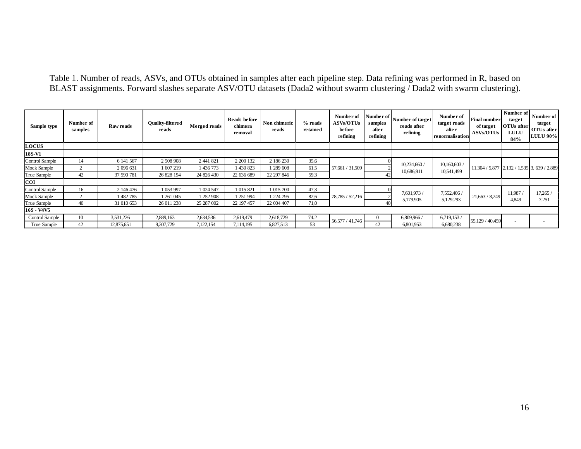Table 1. Number of reads, ASVs, and OTUs obtained in samples after each pipeline step. Data refining was performed in R, based on BLAST assignments. Forward slashes separate ASV/OTU datasets (Dada2 without swarm clustering / Dada2 with swarm clustering).

| Sample type    | Number of<br>samples | <b>Raw reads</b> | <b>Ouality-filtered</b><br>reads | Merged reads | Reads before<br>chimera<br>removal | Non chimeric<br>reads | % reads<br>retained | Number of<br><b>ASVs/OTUs</b><br>before<br><b>refining</b> | Number of<br>samples<br>after<br><b>refining</b> | Number of target<br>reads after<br>refining | Number of<br>target reads<br>after<br>renormalisation | Final number<br>of target<br><b>ASVs/OTUs</b> | Number of<br>target<br><b>OTUs</b> after<br><b>LULU</b><br>84% | Number of<br>target<br>OTUs after<br><b>LULU 90%</b> |
|----------------|----------------------|------------------|----------------------------------|--------------|------------------------------------|-----------------------|---------------------|------------------------------------------------------------|--------------------------------------------------|---------------------------------------------|-------------------------------------------------------|-----------------------------------------------|----------------------------------------------------------------|------------------------------------------------------|
| <b>LOCUS</b>   |                      |                  |                                  |              |                                    |                       |                     |                                                            |                                                  |                                             |                                                       |                                               |                                                                |                                                      |
| 18S-V1         |                      |                  |                                  |              |                                    |                       |                     |                                                            |                                                  |                                             |                                                       |                                               |                                                                |                                                      |
| Control Sample | 14                   | 6 141 567        | 2 508 908                        | 2 441 821    | 2 200 132                          | 2 186 230             | 35,6                |                                                            |                                                  | 10,234,660<br>10,686,911                    | 10,160,603<br>10,541,499                              |                                               | 11,304 / 5,877 2,132 / 1,535 3, 639 / 2,889                    |                                                      |
| Mock Sample    |                      | 2 096 631        | 1 607 219                        | 1436773      | 430 823                            | 289 608               | 61.5                | 57,661 / 31,509                                            |                                                  |                                             |                                                       |                                               |                                                                |                                                      |
| True Sample    | 42                   | 37 590 781       | 26 828 194                       | 24 826 430   | 22 636 689                         | 22 297 846            | 59.3                |                                                            |                                                  |                                             |                                                       |                                               |                                                                |                                                      |
| <b>COI</b>     |                      |                  |                                  |              |                                    |                       |                     |                                                            |                                                  |                                             |                                                       |                                               |                                                                |                                                      |
| Control Sample | 16                   | 2 146 476        | 1 053 997                        | 1 024 547    | 1 015 821                          | 1 015 700             | 47,3                |                                                            | 7,601,973 /                                      |                                             |                                                       |                                               |                                                                |                                                      |
| Mock Sample    |                      | 1482785          | 1 261 045                        | 1 252 908    | 251 994                            | 224 795               | 82,6                | 78,785 / 52,216                                            |                                                  | 7,552,406 /<br>5,129,293                    | 21,663 / 8,249                                        | 11,987<br>4.849                               | 17,265 /<br>7.251                                              |                                                      |
| True Sample    | 40                   | 31 010 653       | 26 011 238                       | 25 287 002   | 22 197 457                         | 22 004 407            | 71,0                |                                                            |                                                  | 5,179,905                                   |                                                       |                                               |                                                                |                                                      |
| 16S - V4V5     |                      |                  |                                  |              |                                    |                       |                     |                                                            |                                                  |                                             |                                                       |                                               |                                                                |                                                      |
| Control Sample | 10                   | 3,531,226        | 2,889,163                        | 2,634,536    | 2,619,479                          | 2,618,729             | 74.2                |                                                            |                                                  | 6,809,966                                   | 6,719,153/                                            |                                               |                                                                |                                                      |
| True Sample    | 42                   | 12,875,651       | 9,307,729                        | 7,122,154    | 7,114,195                          | 6,827,513             | 53                  | 56,577 / 41,746                                            | 42                                               | 6,801,953                                   | 6.680.238                                             | 55,129 / 40,459                               | $\overline{\phantom{a}}$                                       |                                                      |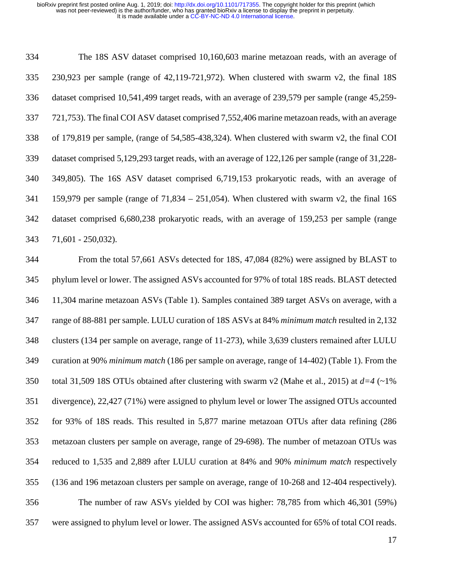| 334 | The 18S ASV dataset comprised 10,160,603 marine metazoan reads, with an average of                |
|-----|---------------------------------------------------------------------------------------------------|
| 335 | 230,923 per sample (range of 42,119-721,972). When clustered with swarm $v2$ , the final 18S      |
| 336 | dataset comprised 10,541,499 target reads, with an average of 239,579 per sample (range 45,259-   |
| 337 | 721,753). The final COI ASV dataset comprised 7,552,406 marine metazoan reads, with an average    |
| 338 | of 179,819 per sample, (range of 54,585-438,324). When clustered with swarm v2, the final COI     |
| 339 | dataset comprised 5,129,293 target reads, with an average of 122,126 per sample (range of 31,228- |
| 340 | 349,805). The 16S ASV dataset comprised 6,719,153 prokaryotic reads, with an average of           |
| 341 | 159,979 per sample (range of $71,834 - 251,054$ ). When clustered with swarm v2, the final 16S    |
| 342 | dataset comprised 6,680,238 prokaryotic reads, with an average of 159,253 per sample (range       |
| 343 | $71,601 - 250,032$ ).                                                                             |

344 From the total 57,661 ASVs detected for 18S, 47,084 (82%) were assigned by BLAST to 345 phylum level or lower. The assigned ASVs accounted for 97% of total 18S reads. BLAST detected 346 11,304 marine metazoan ASVs (Table 1). Samples contained 389 target ASVs on average, with a 347 range of 88-881 per sample. LULU curation of 18S ASVs at 84% *minimum match* resulted in 2,132 348 clusters (134 per sample on average, range of 11-273), while 3,639 clusters remained after LULU 349 curation at 90% *minimum match* (186 per sample on average, range of 14-402) (Table 1). From the 350 total 31,509 18S OTUs obtained after clustering with swarm v2 (Mahe et al., 2015) at *d=4* (~1% 351 divergence), 22,427 (71%) were assigned to phylum level or lower The assigned OTUs accounted 352 for 93% of 18S reads. This resulted in 5,877 marine metazoan OTUs after data refining (286 353 metazoan clusters per sample on average, range of 29-698). The number of metazoan OTUs was 354 reduced to 1,535 and 2,889 after LULU curation at 84% and 90% *minimum match* respectively 355 (136 and 196 metazoan clusters per sample on average, range of 10-268 and 12-404 respectively). 356 The number of raw ASVs yielded by COI was higher: 78,785 from which 46,301 (59%) 357 were assigned to phylum level or lower. The assigned ASVs accounted for 65% of total COI reads.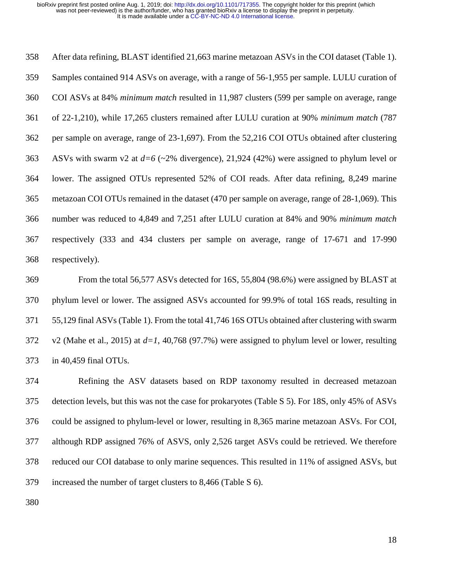358 After data refining, BLAST identified 21,663 marine metazoan ASVs in the COI dataset (Table 1). 359 Samples contained 914 ASVs on average, with a range of 56-1,955 per sample. LULU curation of 360 COI ASVs at 84% *minimum match* resulted in 11,987 clusters (599 per sample on average, range 361 of 22-1,210), while 17,265 clusters remained after LULU curation at 90% *minimum match* (787 362 per sample on average, range of 23-1,697). From the 52,216 COI OTUs obtained after clustering 363 ASVs with swarm v2 at *d=6* (~2% divergence), 21,924 (42%) were assigned to phylum level or 364 lower. The assigned OTUs represented 52% of COI reads. After data refining, 8,249 marine 365 metazoan COI OTUs remained in the dataset (470 per sample on average, range of 28-1,069). This 366 number was reduced to 4,849 and 7,251 after LULU curation at 84% and 90% *minimum match* 367 respectively (333 and 434 clusters per sample on average, range of 17-671 and 17-990 368 respectively).

369 From the total 56,577 ASVs detected for 16S, 55,804 (98.6%) were assigned by BLAST at 370 phylum level or lower. The assigned ASVs accounted for 99.9% of total 16S reads, resulting in 371 55,129 final ASVs (Table 1). From the total 41,746 16S OTUs obtained after clustering with swarm 372 v2 (Mahe et al., 2015) at *d=1*, 40,768 (97.7%) were assigned to phylum level or lower, resulting 373 in 40,459 final OTUs.

374 Refining the ASV datasets based on RDP taxonomy resulted in decreased metazoan 375 detection levels, but this was not the case for prokaryotes (Table S 5). For 18S, only 45% of ASVs 376 could be assigned to phylum-level or lower, resulting in 8,365 marine metazoan ASVs. For COI, 377 although RDP assigned 76% of ASVS, only 2,526 target ASVs could be retrieved. We therefore 378 reduced our COI database to only marine sequences. This resulted in 11% of assigned ASVs, but 379 increased the number of target clusters to 8,466 (Table S 6).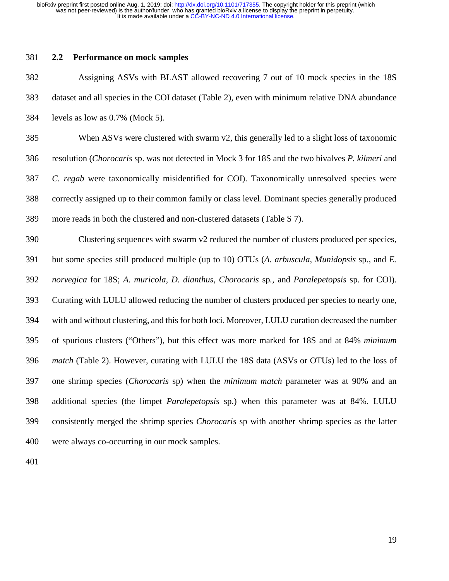## 381 **2.2 Performance on mock samples**

382 Assigning ASVs with BLAST allowed recovering 7 out of 10 mock species in the 18S 383 dataset and all species in the COI dataset (Table 2), even with minimum relative DNA abundance 384 levels as low as 0.7% (Mock 5).

385 When ASVs were clustered with swarm v2, this generally led to a slight loss of taxonomic 386 resolution (*Chorocaris* sp. was not detected in Mock 3 for 18S and the two bivalves *P. kilmeri* and 387 *C. regab* were taxonomically misidentified for COI). Taxonomically unresolved species were 388 correctly assigned up to their common family or class level. Dominant species generally produced 389 more reads in both the clustered and non-clustered datasets (Table S 7).

390 Clustering sequences with swarm v2 reduced the number of clusters produced per species, 391 but some species still produced multiple (up to 10) OTUs (*A. arbuscula*, *Munidopsis* sp., and *E.*  392 *norvegica* for 18S; *A. muricola, D. dianthus, Chorocaris* sp*.,* and *Paralepetopsis* sp. for COI). 393 Curating with LULU allowed reducing the number of clusters produced per species to nearly one, 394 with and without clustering, and this for both loci. Moreover, LULU curation decreased the number 395 of spurious clusters ("Others"), but this effect was more marked for 18S and at 84% *minimum*  396 *match* (Table 2). However, curating with LULU the 18S data (ASVs or OTUs) led to the loss of 397 one shrimp species (*Chorocaris* sp) when the *minimum match* parameter was at 90% and an 398 additional species (the limpet *Paralepetopsis* sp.) when this parameter was at 84%. LULU 399 consistently merged the shrimp species *Chorocaris* sp with another shrimp species as the latter 400 were always co-occurring in our mock samples.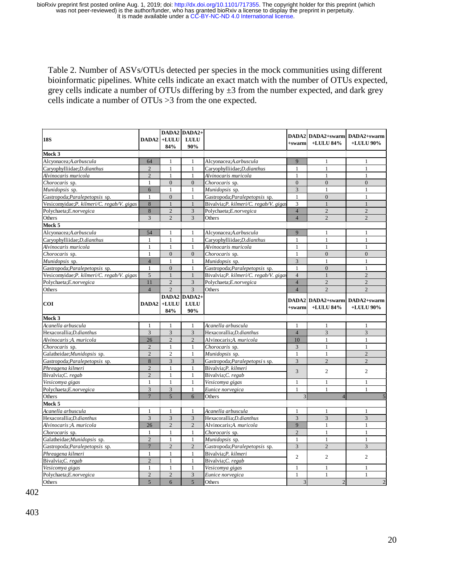Table 2. Number of ASVs/OTUs detected per species in the mock communities using different bioinformatic pipelines. White cells indicate an exact match with the number of OTUs expected, grey cells indicate a number of OTUs differing by  $\pm 3$  from the number expected, and dark grey cells indicate a number of OTUs >3 from the one expected.

|                                               |                                                                |                              | DADA2 DADA2+                 |                                       |                |                               |                        |  |
|-----------------------------------------------|----------------------------------------------------------------|------------------------------|------------------------------|---------------------------------------|----------------|-------------------------------|------------------------|--|
| <b>18S</b>                                    |                                                                | DADA2 +LULU                  | <b>LULU</b>                  |                                       |                | DADA2 DADA2+swarm DADA2+swarm |                        |  |
|                                               |                                                                | 84%                          | 90%                          |                                       | $+swarm$       | +LULU $84\%$                  | +LULU 90%              |  |
| Mock 3                                        |                                                                |                              |                              |                                       |                |                               |                        |  |
| Alcyonacea;A.arbuscula                        | 64                                                             | 1                            | 1                            | Alcyonacea;A.arbuscula                | 9              | 1                             | 1                      |  |
| Carvophylliidae:D.dianthus                    | $\overline{2}$                                                 | $\mathbf{1}$                 | 1                            | Carvophylliidae:D.dianthus            | $\mathbf{1}$   | $\mathbf{1}$                  | 1                      |  |
| Alvinocaris muricola                          | $\overline{2}$                                                 | $\mathbf{1}$                 | $\mathbf{1}$                 | Alvinocaris muricola                  | $\mathbf{1}$   | $\mathbf{1}$                  | 1                      |  |
| Chorocaris sp.                                | $\mathbf{1}$                                                   | $\overline{0}$               | $\overline{0}$               | Chorocaris sp.                        | $\mathbf{0}$   | $\overline{0}$                | $\mathbf{0}$           |  |
| Munidopsis sp.                                | 6                                                              | $\mathbf{1}$                 | $\mathbf{1}$                 | Munidopsis sp.                        | $\overline{3}$ | $\overline{1}$                | 1                      |  |
| Gastropoda; Paralepetopsis sp.                | $\mathbf{1}$                                                   | $\overline{0}$               | $\mathbf{1}$                 | Gastropoda; Paralepetopsis sp.        | $\mathbf{1}$   | $\overline{0}$                | 1                      |  |
| Vesicomyidae; P. kilmeri/C. regab/V. gigas    | 8                                                              | $\mathbf{1}$                 | $\mathbf{1}$                 | Bivalvia;P. kilmeri/C. regab/V. giga: | 3              | $\mathbf{1}$                  | $\mathbf{1}$           |  |
| Polychaeta;E.norvegica                        | 8                                                              | $\overline{2}$               | 3                            | Polychaeta;E.norvegica                | $\overline{4}$ | $\overline{2}$                | $\overline{2}$         |  |
| Others                                        | 3                                                              | $\overline{2}$               | 3                            | Others                                | $\overline{4}$ | $\overline{2}$                | $\overline{2}$         |  |
| Mock 5                                        |                                                                |                              |                              |                                       |                |                               |                        |  |
| Alcyonacea;A.arbuscula                        | 54                                                             | $\mathbf{1}$                 | $\mathbf{1}$                 | Alcyonacea;A.arbuscula                | 9              | $\overline{1}$                | $\mathbf{1}$           |  |
| Caryophylliidae; D.dianthus                   | $\mathbf{1}$                                                   | $\mathbf{1}$                 | $\mathbf{1}$                 | Caryophylliidae; D.dianthus           | $\mathbf{1}$   | $\mathbf{1}$                  | $\mathbf{1}$           |  |
| Alvinocaris muricola                          | $\mathbf{1}$                                                   | $\mathbf{1}$                 | $\mathbf{1}$                 | Alvinocaris muricola                  | $\mathbf{1}$   | $\overline{1}$                | 1                      |  |
| Chorocaris sp.                                | $\mathbf{1}$                                                   | $\overline{0}$               | $\overline{0}$               | Chorocaris sp.                        | 1              | $\overline{0}$                | $\mathbf{0}$           |  |
| Munidopsis sp.                                | $\overline{4}$                                                 | $\mathbf{1}$                 | $\mathbf{1}$                 | Munidopsis sp.                        | 3              | $\mathbf{1}$                  | 1                      |  |
| Gastropoda; Paralepetopsis sp.                | $\mathbf{1}$                                                   | $\mathbf{0}$                 | $\mathbf{1}$                 | Gastropoda; Paralepetopsis sp.        | 1              | $\overline{0}$                | 1                      |  |
| Vesicomyidae;P. kilmeri/C. regab/V. gigas     | 5                                                              | $\mathbf{1}$                 | $\mathbf{1}$                 | Bivalvia;P. kilmeri/C. regab/V. giga: | $\overline{4}$ | $\mathbf{1}$                  | $\overline{2}$         |  |
| Polychaeta;E.norvegica                        | 11                                                             | $\overline{2}$               | $\overline{3}$               | Polychaeta;E.norvegica                | $\overline{4}$ | $\overline{2}$                | $\overline{c}$         |  |
| Others                                        | $\overline{4}$                                                 | $\overline{2}$               | $\overline{3}$               | Others                                | $\overline{4}$ | $\overline{2}$                | $\overline{c}$         |  |
|                                               |                                                                |                              | DADA2 DADA2+                 |                                       |                |                               |                        |  |
| <b>COI</b>                                    |                                                                | DADA2 +LULU                  | <b>LULU</b>                  |                                       |                | DADA2 DADA2+swarm DADA2+swarm |                        |  |
|                                               |                                                                | 84%                          | 90%                          |                                       | $+swarm$       | +LULU 84%                     | +LULU 90%              |  |
| Mock 3                                        |                                                                |                              |                              |                                       |                |                               |                        |  |
| Acanella arbuscula                            | 1                                                              | 1                            | $\mathbf{1}$                 | Acanella arbuscula                    | 1              | $\mathbf{1}$                  | 1                      |  |
| Hexacorallia;D.dianthus                       | $\overline{3}$                                                 | 3                            | $\overline{3}$               | Hexacorallia;D.dianthus               | $\overline{4}$ | 3                             | $\overline{3}$         |  |
| Alvinocaris A. muricola                       | 26                                                             | $\overline{2}$               | $\mathcal{D}_{\alpha}$       | Alvinocaris:A. muricola               | 10             | $\mathbf{1}$                  | $\mathbf{1}$           |  |
| Chorocaris sp.                                | $\overline{2}$                                                 | $\mathbf{1}$                 | $\mathbf{1}$                 | Chorocaris sp.                        | 3              | $\mathbf{1}$                  | $\mathbf{1}$           |  |
| Galatheidae; Munidopsis sp.                   | $\overline{2}$                                                 | $\overline{c}$               | $\mathbf{1}$                 | Munidopsis sp.                        | $\mathbf{1}$   | $\mathbf{1}$                  | $\overline{2}$         |  |
| Gastropoda; Paralepetopsis sp.                | $\,$ 8 $\,$                                                    | $\mathfrak{Z}$               | $\mathfrak{Z}$               | Gastropoda; Paralepetopsi s sp.       | $\overline{3}$ | $\overline{2}$                | $\mathcal{D}_{\alpha}$ |  |
| Phreagena kilmeri                             | $\overline{2}$                                                 | $\mathbf{1}$                 | $\mathbf{1}$                 | Bivalvia;P. kilmeri                   |                |                               |                        |  |
| Bivalvia;C. regab                             | $\overline{c}$                                                 | $\mathbf{1}$                 | $\mathbf{1}$                 | Bivalvia;C. regab                     | $\overline{3}$ | $\overline{c}$                | $\overline{c}$         |  |
| Vesicomya gigas                               | $\mathbf{1}$                                                   | $\mathbf{1}$                 | $\mathbf{1}$                 | Vesicomya gigas                       | 1              | 1                             | 1                      |  |
| Polychaeta;E.norvegica                        | $\overline{3}$                                                 | $\overline{3}$               | $\mathbf{1}$                 | Eunice norvegica                      | $\mathbf{1}$   | 1                             | $\mathbf{1}$           |  |
| Others                                        | $\overline{7}$                                                 | $\overline{5}$               | 6                            | Others                                | 3              | $\overline{4}$                |                        |  |
| Mock 5                                        |                                                                |                              |                              |                                       |                |                               |                        |  |
| Acanella arbuscula                            | $\mathbf{1}$                                                   | $\mathbf{1}$                 | 1                            | Acanella arbuscula                    | 1              | 1                             | 1                      |  |
| Hexacorallia:D.dianthus                       | $\overline{3}$                                                 | $\overline{3}$               | $\overline{3}$               | Hexacorallia:D.dianthus               | 3              | $\overline{3}$                | $\overline{3}$         |  |
| Alvinocaris A. muricola                       | 26                                                             | $\overline{2}$               | $\overline{2}$               | Alvinocaris A. muricola               | 9              | $\mathbf{1}$                  | $\mathbf{1}$           |  |
|                                               | $\mathbf{1}$                                                   |                              |                              | Chorocaris sp.                        | 2              | $\mathbf{1}$                  | $\mathbf{1}$           |  |
| Chorocaris sp.<br>Galatheidae; Munidopsis sp. | $\overline{2}$                                                 | $\mathbf{1}$<br>$\mathbf{1}$ | $\mathbf{1}$<br>$\mathbf{1}$ |                                       | 1              | $\mathbf{1}$                  | 1                      |  |
|                                               | $\overline{7}$                                                 | $\overline{2}$               |                              | Munidopsis sp.                        |                | $\overline{c}$                | 3                      |  |
| Gastropoda; Paralepetopsis sp.                |                                                                |                              | $\overline{2}$               | Gastropoda; Paralepetopsis sp.        | $\overline{3}$ |                               |                        |  |
| Phreagena kilmeri                             | $\mathbf{1}$                                                   | $\mathbf{1}$                 | $\mathbf{1}$                 | Bivalvia;P. kilmeri                   | $\overline{c}$ | $\overline{2}$                | $\overline{c}$         |  |
| Bivalvia;C. regab                             | $\overline{c}$                                                 | $\mathbf{1}$                 | $\mathbf{1}$                 | Bivalvia;C. regab                     |                |                               |                        |  |
| Vesicomya gigas                               | $\mathbf{1}$<br>Vesicomya gigas<br>$\mathbf{1}$<br>1<br>1<br>1 |                              | 1                            |                                       |                |                               |                        |  |
| Polychaeta;E.norvegica                        | $\overline{2}$                                                 | $\overline{c}$               | $\overline{3}$               | Eunice norvegica                      | $\mathbf{1}$   | $\mathbf{1}$                  | $\mathbf{1}$           |  |
| Others                                        | $\overline{5}$                                                 | 6                            | 5                            | Others                                | $\overline{3}$ | $\overline{2}$                | $\overline{c}$         |  |

402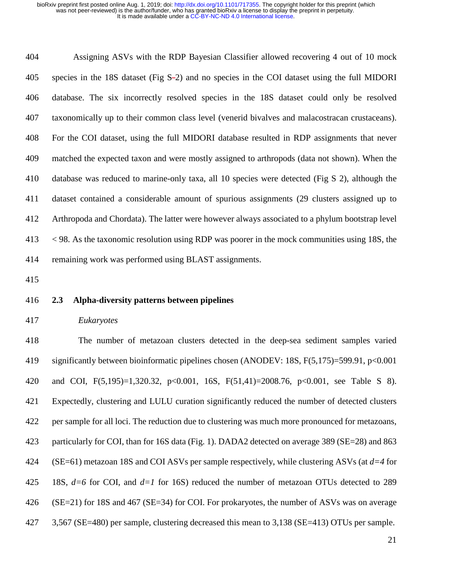404 Assigning ASVs with the RDP Bayesian Classifier allowed recovering 4 out of 10 mock 405 species in the 18S dataset (Fig S-2) and no species in the COI dataset using the full MIDORI 406 database. The six incorrectly resolved species in the 18S dataset could only be resolved 407 taxonomically up to their common class level (venerid bivalves and malacostracan crustaceans). 408 For the COI dataset, using the full MIDORI database resulted in RDP assignments that never 409 matched the expected taxon and were mostly assigned to arthropods (data not shown). When the 410 database was reduced to marine-only taxa, all 10 species were detected (Fig S 2), although the 411 dataset contained a considerable amount of spurious assignments (29 clusters assigned up to 412 Arthropoda and Chordata). The latter were however always associated to a phylum bootstrap level 413 < 98. As the taxonomic resolution using RDP was poorer in the mock communities using 18S, the 414 remaining work was performed using BLAST assignments.

415

## 416 **2.3 Alpha-diversity patterns between pipelines**

#### 417 *Eukaryotes*

418 The number of metazoan clusters detected in the deep-sea sediment samples varied 419 significantly between bioinformatic pipelines chosen (ANODEV: 18S, F(5,175)=599.91, p<0.001 420 and COI, F(5,195)=1,320.32, p<0.001, 16S, F(51,41)=2008.76, p<0.001, see Table S 8). 421 Expectedly, clustering and LULU curation significantly reduced the number of detected clusters 422 per sample for all loci. The reduction due to clustering was much more pronounced for metazoans, 423 particularly for COI, than for 16S data (Fig. 1). DADA2 detected on average 389 (SE=28) and 863 424 (SE=61) metazoan 18S and COI ASVs per sample respectively, while clustering ASVs (at *d=4* for 425 18S, *d=6* for COI, and *d=1* for 16S) reduced the number of metazoan OTUs detected to 289 426 (SE=21) for 18S and 467 (SE=34) for COI. For prokaryotes, the number of ASVs was on average 427 3,567 (SE=480) per sample, clustering decreased this mean to 3,138 (SE=413) OTUs per sample.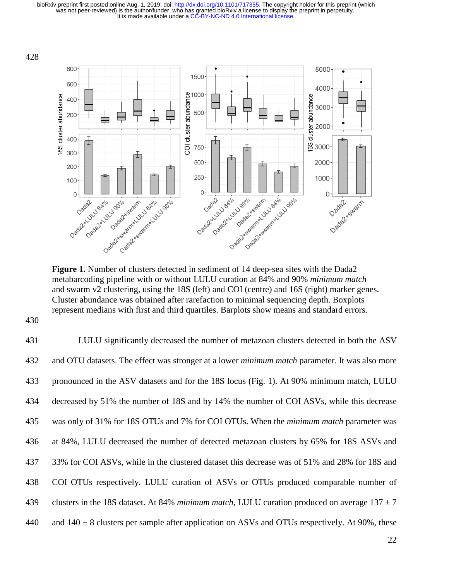

**Figure 1.** Number of clusters detected in sediment of 14 deep-sea sites with the Dada2 metabarcoding pipeline with or without LULU curation at 84% and 90% *minimum match* and swarm v2 clustering, using the 18S (left) and COI (centre) and 16S (right) marker genes. Cluster abundance was obtained after rarefaction to minimal sequencing depth. Boxplots represent medians with first and third quartiles. Barplots show means and standard errors.

430

431 LULU significantly decreased the number of metazoan clusters detected in both the ASV 432 and OTU datasets. The effect was stronger at a lower *minimum match* parameter. It was also more 433 pronounced in the ASV datasets and for the 18S locus (Fig. 1). At 90% minimum match, LULU 434 decreased by 51% the number of 18S and by 14% the number of COI ASVs, while this decrease 435 was only of 31% for 18S OTUs and 7% for COI OTUs. When the *minimum match* parameter was 436 at 84%, LULU decreased the number of detected metazoan clusters by 65% for 18S ASVs and 437 33% for COI ASVs, while in the clustered dataset this decrease was of 51% and 28% for 18S and 438 COI OTUs respectively. LULU curation of ASVs or OTUs produced comparable number of 439 clusters in the 18S dataset. At 84% *minimum match*, LULU curation produced on average  $137 \pm 7$ 440 and  $140 \pm 8$  clusters per sample after application on ASVs and OTUs respectively. At 90%, these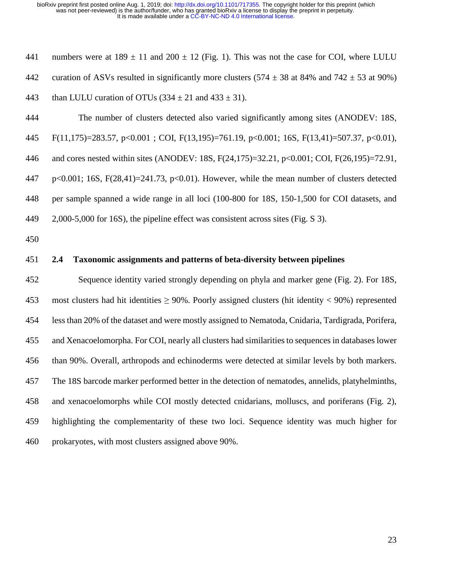441 numbers were at  $189 \pm 11$  and  $200 \pm 12$  (Fig. 1). This was not the case for COI, where LULU 442 curation of ASVs resulted in significantly more clusters  $(574 \pm 38$  at 84% and  $742 \pm 53$  at 90%) 443 than LULU curation of OTUs  $(334 \pm 21 \text{ and } 433 \pm 31)$ .

444 The number of clusters detected also varied significantly among sites (ANODEV: 18S, 445 F(11,175)=283.57, p<0.001 ; COI, F(13,195)=761.19, p<0.001; 16S, F(13,41)=507.37, p<0.01), 446 and cores nested within sites (ANODEV: 18S, F(24,175)=32.21, p<0.001; COI, F(26,195)=72.91, 447 p<0.001; 16S, F(28,41)=241.73, p<0.01). However, while the mean number of clusters detected 448 per sample spanned a wide range in all loci (100-800 for 18S, 150-1,500 for COI datasets, and 449 2,000-5,000 for 16S), the pipeline effect was consistent across sites (Fig. S 3).

450

# 451 **2.4 Taxonomic assignments and patterns of beta-diversity between pipelines**

452 Sequence identity varied strongly depending on phyla and marker gene (Fig. 2). For 18S, 453 most clusters had hit identities ≥ 90%. Poorly assigned clusters (hit identity < 90%) represented 454 less than 20% of the dataset and were mostly assigned to Nematoda, Cnidaria, Tardigrada, Porifera, 455 and Xenacoelomorpha. For COI, nearly all clusters had similarities to sequences in databases lower 456 than 90%. Overall, arthropods and echinoderms were detected at similar levels by both markers. 457 The 18S barcode marker performed better in the detection of nematodes, annelids, platyhelminths, 458 and xenacoelomorphs while COI mostly detected cnidarians, molluscs, and poriferans (Fig. 2), 459 highlighting the complementarity of these two loci. Sequence identity was much higher for 460 prokaryotes, with most clusters assigned above 90%.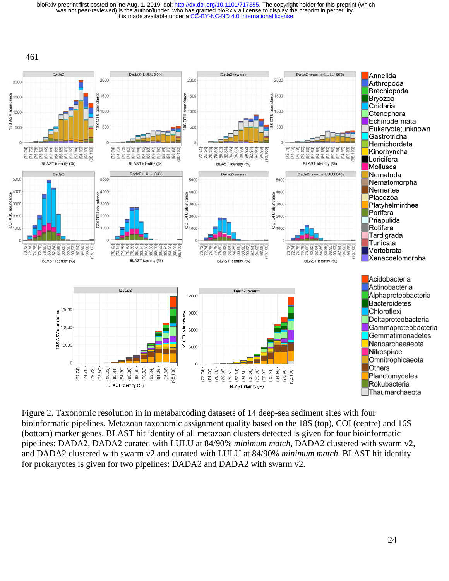It is made available under a [CC-BY-NC-ND 4.0 International license.](http://creativecommons.org/licenses/by-nc-nd/4.0/) was not peer-reviewed) is the author/funder, who has granted bioRxiv a license to display the preprint in perpetuity. bioRxiv preprint first posted online Aug. 1, 2019; doi: [http://dx.doi.org/10.1101/717355.](http://dx.doi.org/10.1101/717355) The copyright holder for this preprint (which



Figure 2. Taxonomic resolution in in metabarcoding datasets of 14 deep-sea sediment sites with four bioinformatic pipelines. Metazoan taxonomic assignment quality based on the 18S (top), COI (centre) and 16S (bottom) marker genes. BLAST hit identity of all metazoan clusters detected is given for four bioinformatic pipelines: DADA2, DADA2 curated with LULU at 84/90% *minimum match*, DADA2 clustered with swarm v2, and DADA2 clustered with swarm v2 and curated with LULU at 84/90% *minimum match*. BLAST hit identity for prokaryotes is given for two pipelines: DADA2 and DADA2 with swarm v2.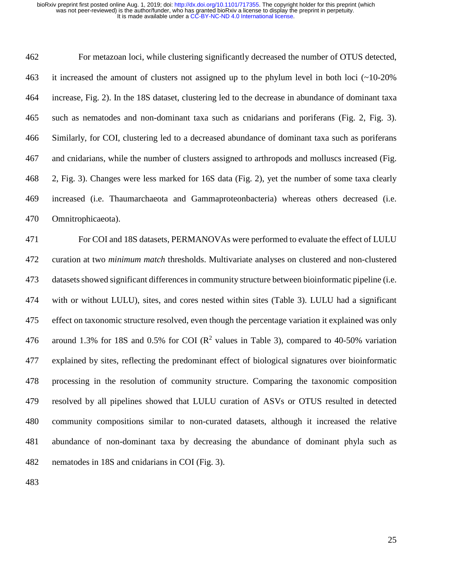462 For metazoan loci, while clustering significantly decreased the number of OTUS detected, 463 it increased the amount of clusters not assigned up to the phylum level in both loci (~10-20% 464 increase, Fig. 2). In the 18S dataset, clustering led to the decrease in abundance of dominant taxa 465 such as nematodes and non-dominant taxa such as cnidarians and poriferans (Fig. 2, Fig. 3). 466 Similarly, for COI, clustering led to a decreased abundance of dominant taxa such as poriferans 467 and cnidarians, while the number of clusters assigned to arthropods and molluscs increased (Fig. 468 2, Fig. 3). Changes were less marked for 16S data (Fig. 2), yet the number of some taxa clearly 469 increased (i.e. Thaumarchaeota and Gammaproteonbacteria) whereas others decreased (i.e. 470 Omnitrophicaeota).

471 For COI and 18S datasets, PERMANOVAs were performed to evaluate the effect of LULU 472 curation at two *minimum match* thresholds. Multivariate analyses on clustered and non-clustered 473 datasets showed significant differences in community structure between bioinformatic pipeline (i.e. 474 with or without LULU), sites, and cores nested within sites (Table 3). LULU had a significant 475 effect on taxonomic structure resolved, even though the percentage variation it explained was only 476 around 1.3% for 18S and 0.5% for COI ( $\mathbb{R}^2$  values in Table 3), compared to 40-50% variation 477 explained by sites, reflecting the predominant effect of biological signatures over bioinformatic 478 processing in the resolution of community structure. Comparing the taxonomic composition 479 resolved by all pipelines showed that LULU curation of ASVs or OTUS resulted in detected 480 community compositions similar to non-curated datasets, although it increased the relative 481 abundance of non-dominant taxa by decreasing the abundance of dominant phyla such as 482 nematodes in 18S and cnidarians in COI (Fig. 3).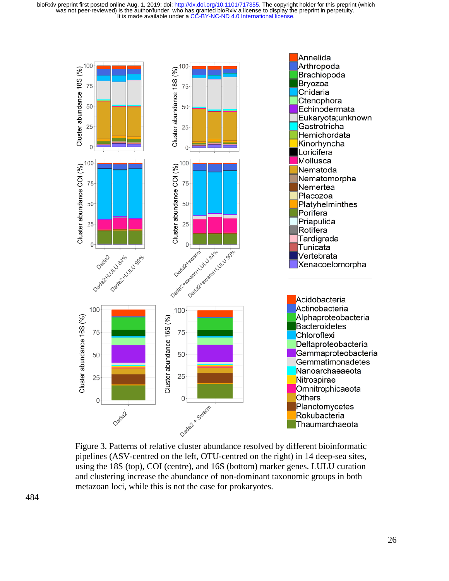

Figure 3. Patterns of relative cluster abundance resolved by different bioinformatic pipelines (ASV-centred on the left, OTU-centred on the right) in 14 deep-sea sites, using the 18S (top), COI (centre), and 16S (bottom) marker genes. LULU curation and clustering increase the abundance of non-dominant taxonomic groups in both metazoan loci, while this is not the case for prokaryotes.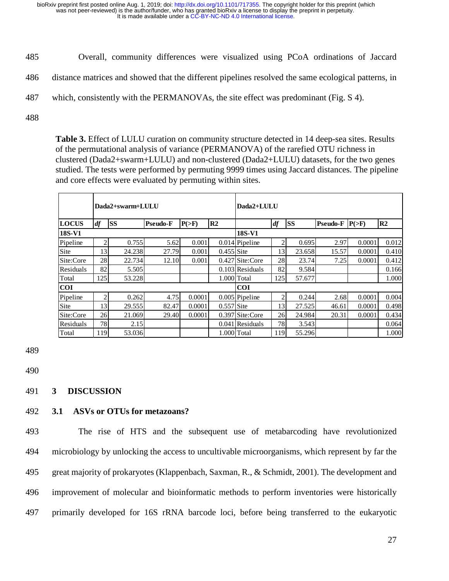- 485 Overall, community differences were visualized using PCoA ordinations of Jaccard
- 486 distance matrices and showed that the different pipelines resolved the same ecological patterns, in
- 487 which, consistently with the PERMANOVAs, the site effect was predominant (Fig. S 4).
- 488

**Table 3.** Effect of LULU curation on community structure detected in 14 deep-sea sites. Results of the permutational analysis of variance (PERMANOVA) of the rarefied OTU richness in clustered (Dada2+swarm+LULU) and non-clustered (Dada2+LULU) datasets, for the two genes studied. The tests were performed by permuting 9999 times using Jaccard distances. The pipeline and core effects were evaluated by permuting within sites.

|              |     | Dada2+swarm+LULU |                 |          |                | Dada2+LULU        |     |           |          |          |       |
|--------------|-----|------------------|-----------------|----------|----------------|-------------------|-----|-----------|----------|----------|-------|
| <b>LOCUS</b> | df  | <b>SS</b>        | <b>Pseudo-F</b> | $P(>=F)$ | R <sub>2</sub> |                   | df  | <b>SS</b> | Pseudo-F | $P(>=F)$ | R2    |
| 18S-V1       |     |                  |                 |          |                | 18S-V1            |     |           |          |          |       |
| Pipeline     | 2   | 0.755            | 5.62            | 0.001    |                | $0.014$ Pipeline  | 2   | 0.695     | 2.97     | 0.0001   | 0.012 |
| Site         | 13  | 24.238           | 27.79           | 0.001    | $0.455$ Site   |                   | 13  | 23.658    | 15.57    | 0.0001   | 0.410 |
| Site:Core    | 28  | 22.734           | 12.10           | 0.001    |                | 0.427 Site:Core   | 28  | 23.74     | 7.25     | 0.0001   | 0.412 |
| Residuals    | 82  | 5.505            |                 |          |                | $0.103$ Residuals | 82  | 9.584     |          |          | 0.166 |
| Total        | 125 | 53.228           |                 |          |                | 1.000 Total       | 125 | 57.677    |          |          | 1.000 |
| <b>COI</b>   |     |                  |                 |          |                | <b>COI</b>        |     |           |          |          |       |
| Pipeline     | 2   | 0.262            | 4.75            | 0.0001   |                | $0.005$ Pipeline  | 2   | 0.244     | 2.68     | 0.0001   | 0.004 |
| Site         | 13  | 29.555           | 82.47           | 0.0001   | $0.557$ Site   |                   | 13  | 27.525    | 46.61    | 0.0001   | 0.498 |
| Site:Core    | 26  | 21.069           | 29.40           | 0.0001   |                | 0.397 Site:Core   | 26  | 24.984    | 20.31    | 0.0001   | 0.434 |
| Residuals    | 78  | 2.15             |                 |          |                | $0.041$ Residuals | 78  | 3.543     |          |          | 0.064 |
| Total        | 119 | 53.036           |                 |          |                | 1.000 Total       | 119 | 55.296    |          |          | 1.000 |

489

490

## 491 **3 DISCUSSION**

# 492 **3.1 ASVs or OTUs for metazoans?**

493 The rise of HTS and the subsequent use of metabarcoding have revolutionized 494 microbiology by unlocking the access to uncultivable microorganisms, which represent by far the 495 great majority of prokaryotes (Klappenbach, Saxman, R., & Schmidt, 2001). The development and 496 improvement of molecular and bioinformatic methods to perform inventories were historically 497 primarily developed for 16S rRNA barcode loci, before being transferred to the eukaryotic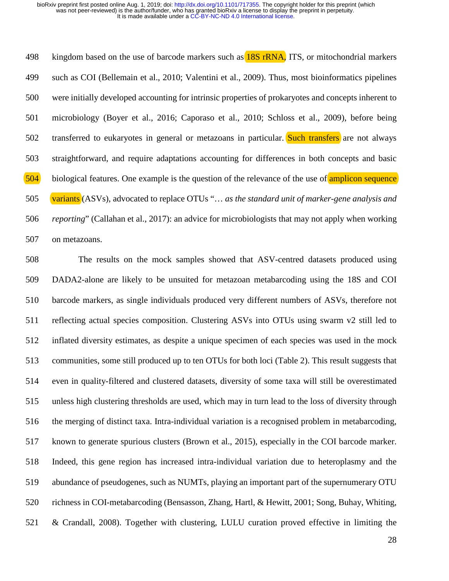498 kingdom based on the use of barcode markers such as **18S rRNA**, ITS, or mitochondrial markers 499 such as COI (Bellemain et al., 2010; Valentini et al., 2009). Thus, most bioinformatics pipelines 500 were initially developed accounting for intrinsic properties of prokaryotes and concepts inherent to 501 microbiology (Boyer et al., 2016; Caporaso et al., 2010; Schloss et al., 2009), before being 502 transferred to eukaryotes in general or metazoans in particular. Such transfers are not always 503 straightforward, and require adaptations accounting for differences in both concepts and basic 504 biological features. One example is the question of the relevance of the use of amplicon sequence 505 variants (ASVs), advocated to replace OTUs "… *as the standard unit of marker-gene analysis and*  506 *reporting*" (Callahan et al., 2017): an advice for microbiologists that may not apply when working 507 on metazoans.

508 The results on the mock samples showed that ASV-centred datasets produced using 509 DADA2-alone are likely to be unsuited for metazoan metabarcoding using the 18S and COI 510 barcode markers, as single individuals produced very different numbers of ASVs, therefore not 511 reflecting actual species composition. Clustering ASVs into OTUs using swarm v2 still led to 512 inflated diversity estimates, as despite a unique specimen of each species was used in the mock 513 communities, some still produced up to ten OTUs for both loci (Table 2). This result suggests that 514 even in quality-filtered and clustered datasets, diversity of some taxa will still be overestimated 515 unless high clustering thresholds are used, which may in turn lead to the loss of diversity through 516 the merging of distinct taxa. Intra-individual variation is a recognised problem in metabarcoding, 517 known to generate spurious clusters (Brown et al., 2015), especially in the COI barcode marker. 518 Indeed, this gene region has increased intra-individual variation due to heteroplasmy and the 519 abundance of pseudogenes, such as NUMTs, playing an important part of the supernumerary OTU 520 richness in COI-metabarcoding (Bensasson, Zhang, Hartl, & Hewitt, 2001; Song, Buhay, Whiting, 521 & Crandall, 2008). Together with clustering, LULU curation proved effective in limiting the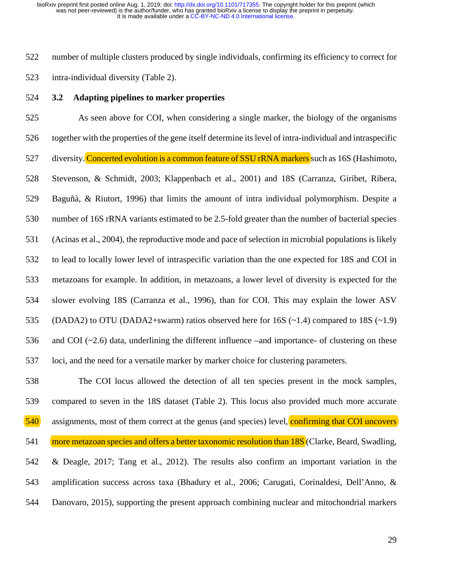522 number of multiple clusters produced by single individuals, confirming its efficiency to correct for 523 intra-individual diversity (Table 2).

524 **3.2 Adapting pipelines to marker properties**

525 As seen above for COI, when considering a single marker, the biology of the organisms 526 together with the properties of the gene itself determine its level of intra-individual and intraspecific 527 diversity. Concerted evolution is a common feature of SSU rRNA markers such as 16S (Hashimoto, 528 Stevenson, & Schmidt, 2003; Klappenbach et al., 2001) and 18S (Carranza, Giribet, Ribera, 529 Baguñà, & Riutort, 1996) that limits the amount of intra individual polymorphism. Despite a 530 number of 16S rRNA variants estimated to be 2.5-fold greater than the number of bacterial species 531 (Acinas et al., 2004), the reproductive mode and pace of selection in microbial populations is likely 532 to lead to locally lower level of intraspecific variation than the one expected for 18S and COI in 533 metazoans for example. In addition, in metazoans, a lower level of diversity is expected for the 534 slower evolving 18S (Carranza et al., 1996), than for COI. This may explain the lower ASV 535 (DADA2) to OTU (DADA2+swarm) ratios observed here for 16S  $(-1.4)$  compared to 18S  $(-1.9)$ 536 and COI (~2.6) data, underlining the different influence –and importance- of clustering on these 537 loci, and the need for a versatile marker by marker choice for clustering parameters.

538 The COI locus allowed the detection of all ten species present in the mock samples, 539 compared to seven in the 18S dataset (Table 2). This locus also provided much more accurate 540 assignments, most of them correct at the genus (and species) level, confirming that COI uncovers 541 more metazoan species and offers a better taxonomic resolution than 18S (Clarke, Beard, Swadling, 542 & Deagle, 2017; Tang et al., 2012). The results also confirm an important variation in the 543 amplification success across taxa (Bhadury et al., 2006; Carugati, Corinaldesi, Dell'Anno, & 544 Danovaro, 2015), supporting the present approach combining nuclear and mitochondrial markers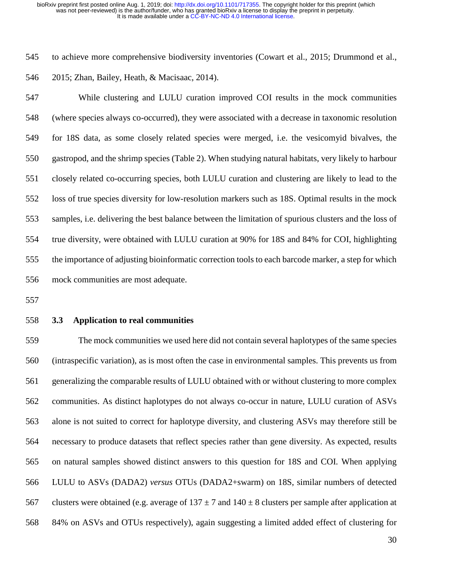545 to achieve more comprehensive biodiversity inventories (Cowart et al., 2015; Drummond et al., 546 2015; Zhan, Bailey, Heath, & Macisaac, 2014).

547 While clustering and LULU curation improved COI results in the mock communities 548 (where species always co-occurred), they were associated with a decrease in taxonomic resolution 549 for 18S data, as some closely related species were merged, i.e. the vesicomyid bivalves, the 550 gastropod, and the shrimp species (Table 2). When studying natural habitats, very likely to harbour 551 closely related co-occurring species, both LULU curation and clustering are likely to lead to the 552 loss of true species diversity for low-resolution markers such as 18S. Optimal results in the mock 553 samples, i.e. delivering the best balance between the limitation of spurious clusters and the loss of 554 true diversity, were obtained with LULU curation at 90% for 18S and 84% for COI, highlighting 555 the importance of adjusting bioinformatic correction tools to each barcode marker, a step for which 556 mock communities are most adequate.

557

#### 558 **3.3 Application to real communities**

559 The mock communities we used here did not contain several haplotypes of the same species 560 (intraspecific variation), as is most often the case in environmental samples. This prevents us from 561 generalizing the comparable results of LULU obtained with or without clustering to more complex 562 communities. As distinct haplotypes do not always co-occur in nature, LULU curation of ASVs 563 alone is not suited to correct for haplotype diversity, and clustering ASVs may therefore still be 564 necessary to produce datasets that reflect species rather than gene diversity. As expected, results 565 on natural samples showed distinct answers to this question for 18S and COI. When applying 566 LULU to ASVs (DADA2) *versus* OTUs (DADA2+swarm) on 18S, similar numbers of detected 567 clusters were obtained (e.g. average of  $137 \pm 7$  and  $140 \pm 8$  clusters per sample after application at 568 84% on ASVs and OTUs respectively), again suggesting a limited added effect of clustering for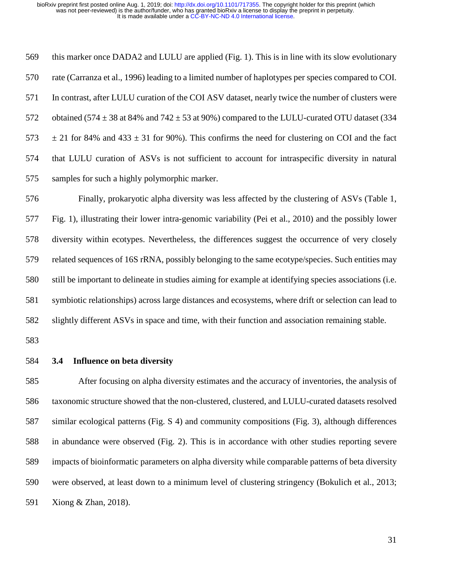| 569 | this marker once DADA2 and LULU are applied (Fig. 1). This is in line with its slow evolutionary      |
|-----|-------------------------------------------------------------------------------------------------------|
| 570 | rate (Carranza et al., 1996) leading to a limited number of haplotypes per species compared to COI.   |
| 571 | In contrast, after LULU curation of the COI ASV dataset, nearly twice the number of clusters were     |
| 572 | obtained (574 $\pm$ 38 at 84% and 742 $\pm$ 53 at 90%) compared to the LULU-curated OTU dataset (334  |
| 573 | $\pm$ 21 for 84% and 433 $\pm$ 31 for 90%). This confirms the need for clustering on COI and the fact |
| 574 | that LULU curation of ASVs is not sufficient to account for intraspecific diversity in natural        |
| 575 | samples for such a highly polymorphic marker.                                                         |

576 Finally, prokaryotic alpha diversity was less affected by the clustering of ASVs (Table 1, 577 Fig. 1), illustrating their lower intra-genomic variability (Pei et al., 2010) and the possibly lower 578 diversity within ecotypes. Nevertheless, the differences suggest the occurrence of very closely 579 related sequences of 16S rRNA, possibly belonging to the same ecotype/species. Such entities may 580 still be important to delineate in studies aiming for example at identifying species associations (i.e. 581 symbiotic relationships) across large distances and ecosystems, where drift or selection can lead to 582 slightly different ASVs in space and time, with their function and association remaining stable.

583

584 **3.4 Influence on beta diversity**

585 After focusing on alpha diversity estimates and the accuracy of inventories, the analysis of 586 taxonomic structure showed that the non-clustered, clustered, and LULU-curated datasets resolved 587 similar ecological patterns (Fig. S 4) and community compositions (Fig. 3), although differences 588 in abundance were observed (Fig. 2). This is in accordance with other studies reporting severe 589 impacts of bioinformatic parameters on alpha diversity while comparable patterns of beta diversity 590 were observed, at least down to a minimum level of clustering stringency (Bokulich et al., 2013; 591 Xiong & Zhan, 2018).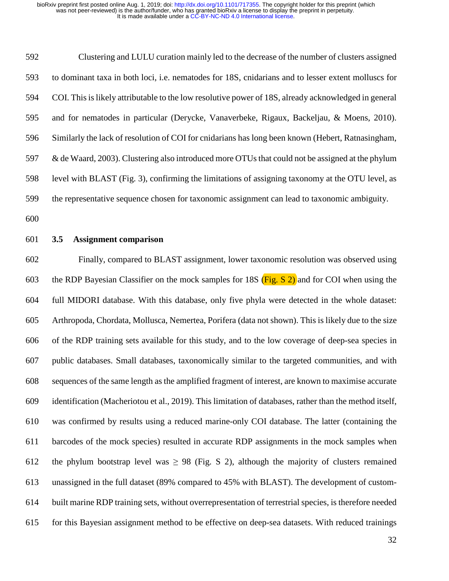592 Clustering and LULU curation mainly led to the decrease of the number of clusters assigned 593 to dominant taxa in both loci, i.e. nematodes for 18S, cnidarians and to lesser extent molluscs for 594 COI. This is likely attributable to the low resolutive power of 18S, already acknowledged in general 595 and for nematodes in particular (Derycke, Vanaverbeke, Rigaux, Backeljau, & Moens, 2010). 596 Similarly the lack of resolution of COI for cnidarians has long been known (Hebert, Ratnasingham, 597 & de Waard, 2003). Clustering also introduced more OTUs that could not be assigned at the phylum 598 level with BLAST (Fig. 3), confirming the limitations of assigning taxonomy at the OTU level, as 599 the representative sequence chosen for taxonomic assignment can lead to taxonomic ambiguity.

- 600
	-

# 601 **3.5 Assignment comparison**

602 Finally, compared to BLAST assignment, lower taxonomic resolution was observed using 603 the RDP Bayesian Classifier on the mock samples for 18S (Fig. S 2) and for COI when using the 604 full MIDORI database. With this database, only five phyla were detected in the whole dataset: 605 Arthropoda, Chordata, Mollusca, Nemertea, Porifera (data not shown). This is likely due to the size 606 of the RDP training sets available for this study, and to the low coverage of deep-sea species in 607 public databases. Small databases, taxonomically similar to the targeted communities, and with 608 sequences of the same length as the amplified fragment of interest, are known to maximise accurate 609 identification (Macheriotou et al., 2019). This limitation of databases, rather than the method itself, 610 was confirmed by results using a reduced marine-only COI database. The latter (containing the 611 barcodes of the mock species) resulted in accurate RDP assignments in the mock samples when 612 the phylum bootstrap level was  $\geq$  98 (Fig. S 2), although the majority of clusters remained 613 unassigned in the full dataset (89% compared to 45% with BLAST). The development of custom-614 built marine RDP training sets, without overrepresentation of terrestrial species, is therefore needed 615 for this Bayesian assignment method to be effective on deep-sea datasets. With reduced trainings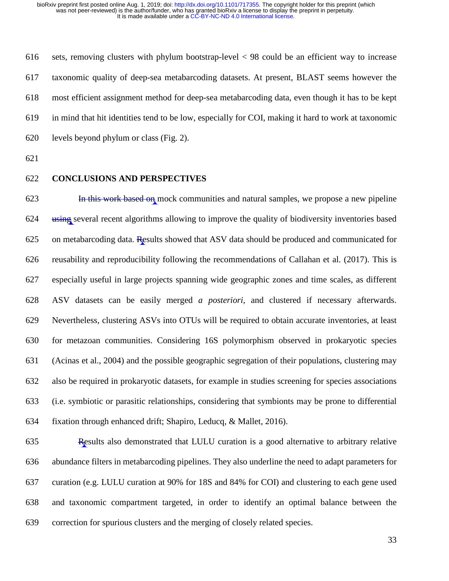616 sets, removing clusters with phylum bootstrap-level < 98 could be an efficient way to increase 617 taxonomic quality of deep-sea metabarcoding datasets. At present, BLAST seems however the 618 most efficient assignment method for deep-sea metabarcoding data, even though it has to be kept 619 in mind that hit identities tend to be low, especially for COI, making it hard to work at taxonomic 620 levels beyond phylum or class (Fig. 2).

621

#### 622 **CONCLUSIONS AND PERSPECTIVES**

623 **In this work based on** mock communities and natural samples, we propose a new pipeline 624 using several recent algorithms allowing to improve the quality of biodiversity inventories based 625 on metabarcoding data. Results showed that ASV data should be produced and communicated for 626 reusability and reproducibility following the recommendations of Callahan et al. (2017). This is 627 especially useful in large projects spanning wide geographic zones and time scales, as different 628 ASV datasets can be easily merged *a posteriori,* and clustered if necessary afterwards. 629 Nevertheless, clustering ASVs into OTUs will be required to obtain accurate inventories, at least 630 for metazoan communities. Considering 16S polymorphism observed in prokaryotic species 631 (Acinas et al., 2004) and the possible geographic segregation of their populations, clustering may 632 also be required in prokaryotic datasets, for example in studies screening for species associations 633 (i.e. symbiotic or parasitic relationships, considering that symbionts may be prone to differential 634 fixation through enhanced drift; Shapiro, Leducq, & Mallet, 2016).

635 Results also demonstrated that LULU curation is a good alternative to arbitrary relative 636 abundance filters in metabarcoding pipelines. They also underline the need to adapt parameters for 637 curation (e.g. LULU curation at 90% for 18S and 84% for COI) and clustering to each gene used 638 and taxonomic compartment targeted, in order to identify an optimal balance between the 639 correction for spurious clusters and the merging of closely related species.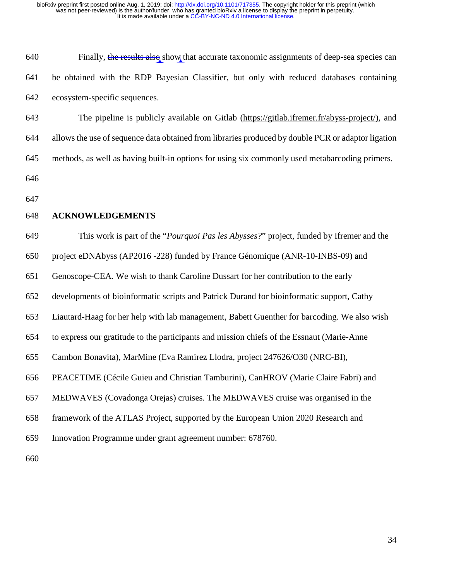| 640 | Finally, the results also show that accurate taxonomic assignments of deep-sea species can |
|-----|--------------------------------------------------------------------------------------------|
| 641 | be obtained with the RDP Bayesian Classifier, but only with reduced databases containing   |
| 642 | ecosystem-specific sequences.                                                              |

643 The pipeline is publicly available on Gitlab (https://gitlab.ifremer.fr/abyss-project/), and 644 allows the use of sequence data obtained from libraries produced by double PCR or adaptor ligation 645 methods, as well as having built-in options for using six commonly used metabarcoding primers. 646

647

#### 648 **ACKNOWLEDGEMENTS**

649 This work is part of the "*Pourquoi Pas les Abysses?*" project, funded by Ifremer and the

650 project eDNAbyss (AP2016 -228) funded by France Génomique (ANR-10-INBS-09) and

651 Genoscope-CEA. We wish to thank Caroline Dussart for her contribution to the early

652 developments of bioinformatic scripts and Patrick Durand for bioinformatic support, Cathy

653 Liautard-Haag for her help with lab management, Babett Guenther for barcoding. We also wish

654 to express our gratitude to the participants and mission chiefs of the Essnaut (Marie-Anne

655 Cambon Bonavita), MarMine (Eva Ramirez Llodra, project 247626/O30 (NRC-BI),

656 PEACETIME (Cécile Guieu and Christian Tamburini), CanHROV (Marie Claire Fabri) and

657 MEDWAVES (Covadonga Orejas) cruises. The MEDWAVES cruise was organised in the

658 framework of the ATLAS Project, supported by the European Union 2020 Research and

659 Innovation Programme under grant agreement number: 678760.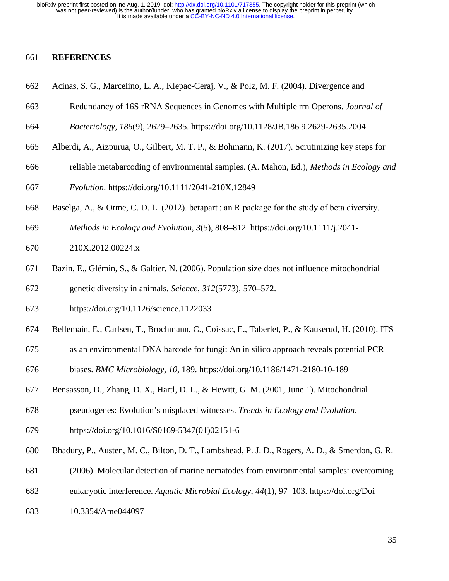#### 661 **REFERENCES**

- 662 Acinas, S. G., Marcelino, L. A., Klepac-Ceraj, V., & Polz, M. F. (2004). Divergence and
- 663 Redundancy of 16S rRNA Sequences in Genomes with Multiple rrn Operons. *Journal of*
- 664 *Bacteriology*, *186*(9), 2629–2635. https://doi.org/10.1128/JB.186.9.2629-2635.2004
- 665 Alberdi, A., Aizpurua, O., Gilbert, M. T. P., & Bohmann, K. (2017). Scrutinizing key steps for
- 666 reliable metabarcoding of environmental samples. (A. Mahon, Ed.), *Methods in Ecology and*
- 667 *Evolution*. https://doi.org/10.1111/2041-210X.12849
- 668 Baselga, A., & Orme, C. D. L. (2012). betapart : an R package for the study of beta diversity.
- 669 *Methods in Ecology and Evolution*, *3*(5), 808–812. https://doi.org/10.1111/j.2041-
- 670 210X.2012.00224.x
- 671 Bazin, E., Glémin, S., & Galtier, N. (2006). Population size does not influence mitochondrial 672 genetic diversity in animals. *Science*, *312*(5773), 570–572.
- 
- 673 https://doi.org/10.1126/science.1122033
- 674 Bellemain, E., Carlsen, T., Brochmann, C., Coissac, E., Taberlet, P., & Kauserud, H. (2010). ITS
- 675 as an environmental DNA barcode for fungi: An in silico approach reveals potential PCR
- 676 biases. *BMC Microbiology*, *10*, 189. https://doi.org/10.1186/1471-2180-10-189
- 677 Bensasson, D., Zhang, D. X., Hartl, D. L., & Hewitt, G. M. (2001, June 1). Mitochondrial
- 678 pseudogenes: Evolution's misplaced witnesses. *Trends in Ecology and Evolution*.
- 679 https://doi.org/10.1016/S0169-5347(01)02151-6
- 680 Bhadury, P., Austen, M. C., Bilton, D. T., Lambshead, P. J. D., Rogers, A. D., & Smerdon, G. R.
- 681 (2006). Molecular detection of marine nematodes from environmental samples: overcoming
- 682 eukaryotic interference. *Aquatic Microbial Ecology*, *44*(1), 97–103. https://doi.org/Doi
- 683 10.3354/Ame044097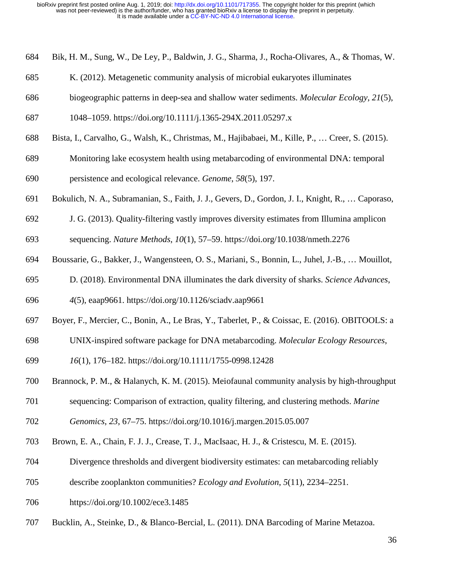- 684 Bik, H. M., Sung, W., De Ley, P., Baldwin, J. G., Sharma, J., Rocha-Olivares, A., & Thomas, W.
- 685 K. (2012). Metagenetic community analysis of microbial eukaryotes illuminates
- 686 biogeographic patterns in deep-sea and shallow water sediments. *Molecular Ecology*, *21*(5),
- 687 1048–1059. https://doi.org/10.1111/j.1365-294X.2011.05297.x
- 688 Bista, I., Carvalho, G., Walsh, K., Christmas, M., Hajibabaei, M., Kille, P., … Creer, S. (2015).
- 689 Monitoring lake ecosystem health using metabarcoding of environmental DNA: temporal
- 690 persistence and ecological relevance. *Genome*, *58*(5), 197.
- 691 Bokulich, N. A., Subramanian, S., Faith, J. J., Gevers, D., Gordon, J. I., Knight, R., … Caporaso,
- 692 J. G. (2013). Quality-filtering vastly improves diversity estimates from Illumina amplicon
- 693 sequencing. *Nature Methods*, *10*(1), 57–59. https://doi.org/10.1038/nmeth.2276
- 694 Boussarie, G., Bakker, J., Wangensteen, O. S., Mariani, S., Bonnin, L., Juhel, J.-B., … Mouillot,
- 695 D. (2018). Environmental DNA illuminates the dark diversity of sharks. *Science Advances*,
- 696 *4*(5), eaap9661. https://doi.org/10.1126/sciadv.aap9661
- 697 Boyer, F., Mercier, C., Bonin, A., Le Bras, Y., Taberlet, P., & Coissac, E. (2016). OBITOOLS: a
- 698 UNIX-inspired software package for DNA metabarcoding. *Molecular Ecology Resources*,
- 699 *16*(1), 176–182. https://doi.org/10.1111/1755-0998.12428
- 700 Brannock, P. M., & Halanych, K. M. (2015). Meiofaunal community analysis by high-throughput
- 701 sequencing: Comparison of extraction, quality filtering, and clustering methods. *Marine*

702 *Genomics*, *23*, 67–75. https://doi.org/10.1016/j.margen.2015.05.007

- 703 Brown, E. A., Chain, F. J. J., Crease, T. J., MacIsaac, H. J., & Cristescu, M. E. (2015).
- 704 Divergence thresholds and divergent biodiversity estimates: can metabarcoding reliably
- 705 describe zooplankton communities? *Ecology and Evolution*, *5*(11), 2234–2251.
- 706 https://doi.org/10.1002/ece3.1485
- 707 Bucklin, A., Steinke, D., & Blanco-Bercial, L. (2011). DNA Barcoding of Marine Metazoa.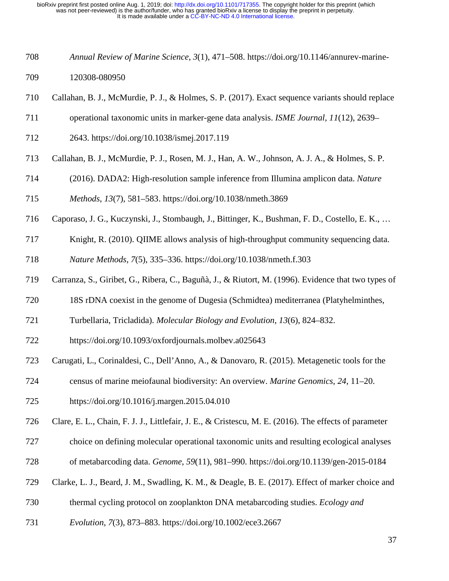- 708 *Annual Review of Marine Science*, *3*(1), 471–508. https://doi.org/10.1146/annurev-marine-709 120308-080950
- 710 Callahan, B. J., McMurdie, P. J., & Holmes, S. P. (2017). Exact sequence variants should replace
- 711 operational taxonomic units in marker-gene data analysis. *ISME Journal*, *11*(12), 2639–
- 712 2643. https://doi.org/10.1038/ismej.2017.119
- 713 Callahan, B. J., McMurdie, P. J., Rosen, M. J., Han, A. W., Johnson, A. J. A., & Holmes, S. P.
- 714 (2016). DADA2: High-resolution sample inference from Illumina amplicon data. *Nature*
- 715 *Methods*, *13*(7), 581–583. https://doi.org/10.1038/nmeth.3869
- 716 Caporaso, J. G., Kuczynski, J., Stombaugh, J., Bittinger, K., Bushman, F. D., Costello, E. K., …
- 717 Knight, R. (2010). QIIME allows analysis of high-throughput community sequencing data.

718 *Nature Methods*, *7*(5), 335–336. https://doi.org/10.1038/nmeth.f.303

- 719 Carranza, S., Giribet, G., Ribera, C., Baguñà, J., & Riutort, M. (1996). Evidence that two types of
- 720 18S rDNA coexist in the genome of Dugesia (Schmidtea) mediterranea (Platyhelminthes,
- 721 Turbellaria, Tricladida). *Molecular Biology and Evolution*, *13*(6), 824–832.
- 722 https://doi.org/10.1093/oxfordjournals.molbev.a025643
- 723 Carugati, L., Corinaldesi, C., Dell'Anno, A., & Danovaro, R. (2015). Metagenetic tools for the
- 724 census of marine meiofaunal biodiversity: An overview. *Marine Genomics*, *24*, 11–20.
- 725 https://doi.org/10.1016/j.margen.2015.04.010
- 726 Clare, E. L., Chain, F. J. J., Littlefair, J. E., & Cristescu, M. E. (2016). The effects of parameter
- 727 choice on defining molecular operational taxonomic units and resulting ecological analyses
- 728 of metabarcoding data. *Genome*, *59*(11), 981–990. https://doi.org/10.1139/gen-2015-0184
- 729 Clarke, L. J., Beard, J. M., Swadling, K. M., & Deagle, B. E. (2017). Effect of marker choice and
- 730 thermal cycling protocol on zooplankton DNA metabarcoding studies. *Ecology and*
- 731 *Evolution*, *7*(3), 873–883. https://doi.org/10.1002/ece3.2667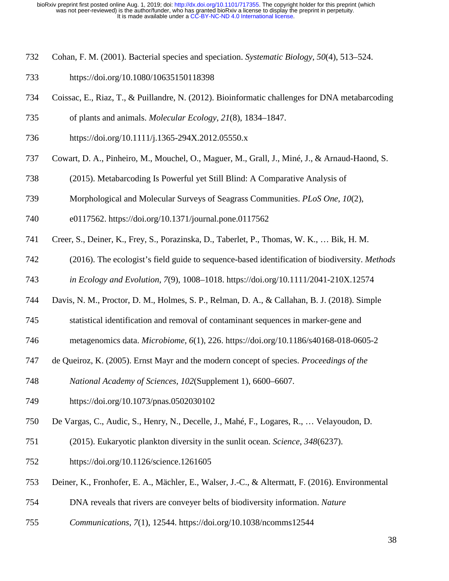- 732 Cohan, F. M. (2001). Bacterial species and speciation. *Systematic Biology*, *50*(4), 513–524.
- 733 https://doi.org/10.1080/10635150118398
- 734 Coissac, E., Riaz, T., & Puillandre, N. (2012). Bioinformatic challenges for DNA metabarcoding
- 735 of plants and animals. *Molecular Ecology*, *21*(8), 1834–1847.
- 736 https://doi.org/10.1111/j.1365-294X.2012.05550.x
- 737 Cowart, D. A., Pinheiro, M., Mouchel, O., Maguer, M., Grall, J., Miné, J., & Arnaud-Haond, S.
- 738 (2015). Metabarcoding Is Powerful yet Still Blind: A Comparative Analysis of
- 739 Morphological and Molecular Surveys of Seagrass Communities. *PLoS One*, *10*(2),
- 740 e0117562. https://doi.org/10.1371/journal.pone.0117562
- 741 Creer, S., Deiner, K., Frey, S., Porazinska, D., Taberlet, P., Thomas, W. K., … Bik, H. M.
- 742 (2016). The ecologist's field guide to sequence-based identification of biodiversity. *Methods*  743 *in Ecology and Evolution*, *7*(9), 1008–1018. https://doi.org/10.1111/2041-210X.12574
- 744 Davis, N. M., Proctor, D. M., Holmes, S. P., Relman, D. A., & Callahan, B. J. (2018). Simple
- 745 statistical identification and removal of contaminant sequences in marker-gene and
- 746 metagenomics data. *Microbiome*, *6*(1), 226. https://doi.org/10.1186/s40168-018-0605-2
- 747 de Queiroz, K. (2005). Ernst Mayr and the modern concept of species. *Proceedings of the*
- 748 *National Academy of Sciences*, *102*(Supplement 1), 6600–6607.
- 749 https://doi.org/10.1073/pnas.0502030102
- 750 De Vargas, C., Audic, S., Henry, N., Decelle, J., Mahé, F., Logares, R., … Velayoudon, D.
- 751 (2015). Eukaryotic plankton diversity in the sunlit ocean. *Science*, *348*(6237).
- 752 https://doi.org/10.1126/science.1261605
- 753 Deiner, K., Fronhofer, E. A., Mächler, E., Walser, J.-C., & Altermatt, F. (2016). Environmental
- 754 DNA reveals that rivers are conveyer belts of biodiversity information. *Nature*
- 755 *Communications*, *7*(1), 12544. https://doi.org/10.1038/ncomms12544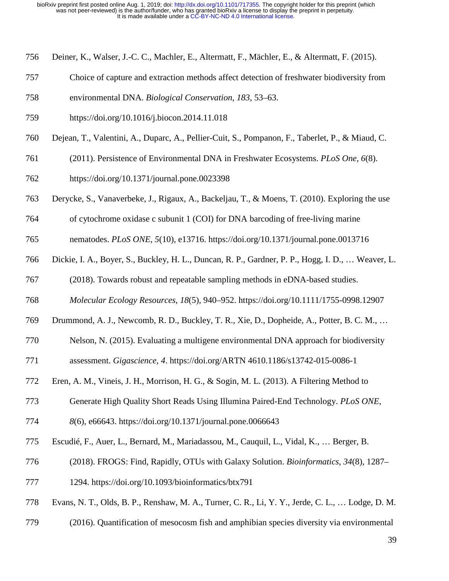- 756 Deiner, K., Walser, J.-C. C., Machler, E., Altermatt, F., Mächler, E., & Altermatt, F. (2015).
- 757 Choice of capture and extraction methods affect detection of freshwater biodiversity from
- 758 environmental DNA. *Biological Conservation*, *183*, 53–63.
- 759 https://doi.org/10.1016/j.biocon.2014.11.018
- 760 Dejean, T., Valentini, A., Duparc, A., Pellier-Cuit, S., Pompanon, F., Taberlet, P., & Miaud, C.
- 761 (2011). Persistence of Environmental DNA in Freshwater Ecosystems. *PLoS One*, *6*(8).
- 762 https://doi.org/10.1371/journal.pone.0023398
- 763 Derycke, S., Vanaverbeke, J., Rigaux, A., Backeljau, T., & Moens, T. (2010). Exploring the use
- 764 of cytochrome oxidase c subunit 1 (COI) for DNA barcoding of free-living marine
- 765 nematodes. *PLoS ONE*, *5*(10), e13716. https://doi.org/10.1371/journal.pone.0013716
- 766 Dickie, I. A., Boyer, S., Buckley, H. L., Duncan, R. P., Gardner, P. P., Hogg, I. D., … Weaver, L.
- 767 (2018). Towards robust and repeatable sampling methods in eDNA-based studies.
- 768 *Molecular Ecology Resources*, *18*(5), 940–952. https://doi.org/10.1111/1755-0998.12907
- 769 Drummond, A. J., Newcomb, R. D., Buckley, T. R., Xie, D., Dopheide, A., Potter, B. C. M., …
- 770 Nelson, N. (2015). Evaluating a multigene environmental DNA approach for biodiversity
- 771 assessment. *Gigascience*, *4*. https://doi.org/ARTN 4610.1186/s13742-015-0086-1
- 772 Eren, A. M., Vineis, J. H., Morrison, H. G., & Sogin, M. L. (2013). A Filtering Method to
- 773 Generate High Quality Short Reads Using Illumina Paired-End Technology. *PLoS ONE*,
- 774 *8*(6), e66643. https://doi.org/10.1371/journal.pone.0066643
- 775 Escudié, F., Auer, L., Bernard, M., Mariadassou, M., Cauquil, L., Vidal, K., … Berger, B.
- 776 (2018). FROGS: Find, Rapidly, OTUs with Galaxy Solution. *Bioinformatics*, *34*(8), 1287–

777 1294. https://doi.org/10.1093/bioinformatics/btx791

- 778 Evans, N. T., Olds, B. P., Renshaw, M. A., Turner, C. R., Li, Y. Y., Jerde, C. L., … Lodge, D. M.
- 779 (2016). Quantification of mesocosm fish and amphibian species diversity via environmental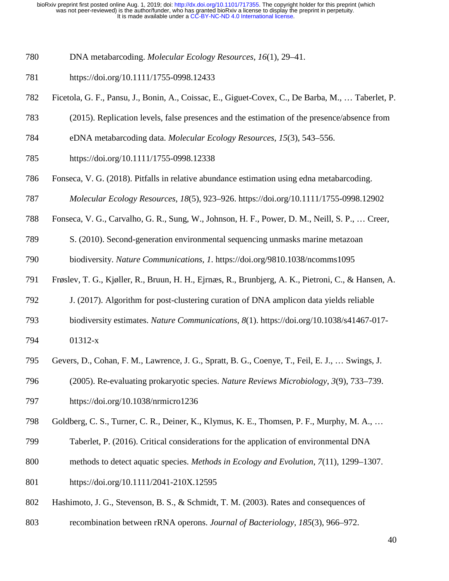- 780 DNA metabarcoding. *Molecular Ecology Resources*, *16*(1), 29–41.
- 781 https://doi.org/10.1111/1755-0998.12433
- 782 Ficetola, G. F., Pansu, J., Bonin, A., Coissac, E., Giguet-Covex, C., De Barba, M., … Taberlet, P.
- 783 (2015). Replication levels, false presences and the estimation of the presence/absence from
- 784 eDNA metabarcoding data. *Molecular Ecology Resources*, *15*(3), 543–556.
- 785 https://doi.org/10.1111/1755-0998.12338
- 786 Fonseca, V. G. (2018). Pitfalls in relative abundance estimation using edna metabarcoding.
- 787 *Molecular Ecology Resources*, *18*(5), 923–926. https://doi.org/10.1111/1755-0998.12902
- 788 Fonseca, V. G., Carvalho, G. R., Sung, W., Johnson, H. F., Power, D. M., Neill, S. P., … Creer,
- 789 S. (2010). Second-generation environmental sequencing unmasks marine metazoan

790 biodiversity. *Nature Communications*, *1*. https://doi.org/9810.1038/ncomms1095

- 791 Frøslev, T. G., Kjøller, R., Bruun, H. H., Ejrnæs, R., Brunbjerg, A. K., Pietroni, C., & Hansen, A.
- 792 J. (2017). Algorithm for post-clustering curation of DNA amplicon data yields reliable
- 793 biodiversity estimates. *Nature Communications*, *8*(1). https://doi.org/10.1038/s41467-017-
- 794 01312-x
- 795 Gevers, D., Cohan, F. M., Lawrence, J. G., Spratt, B. G., Coenye, T., Feil, E. J., … Swings, J.
- 796 (2005). Re-evaluating prokaryotic species. *Nature Reviews Microbiology*, *3*(9), 733–739.
- 797 https://doi.org/10.1038/nrmicro1236
- 798 Goldberg, C. S., Turner, C. R., Deiner, K., Klymus, K. E., Thomsen, P. F., Murphy, M. A., …
- 799 Taberlet, P. (2016). Critical considerations for the application of environmental DNA
- 800 methods to detect aquatic species. *Methods in Ecology and Evolution*, *7*(11), 1299–1307.
- 801 https://doi.org/10.1111/2041-210X.12595
- 802 Hashimoto, J. G., Stevenson, B. S., & Schmidt, T. M. (2003). Rates and consequences of
- 803 recombination between rRNA operons. *Journal of Bacteriology*, *185*(3), 966–972.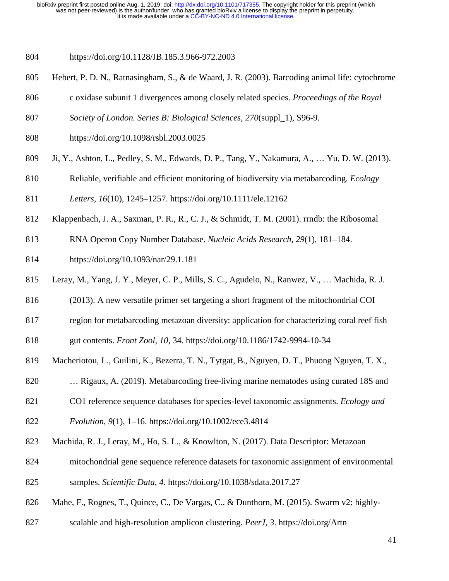804 https://doi.org/10.1128/JB.185.3.966-972.2003

- 805 Hebert, P. D. N., Ratnasingham, S., & de Waard, J. R. (2003). Barcoding animal life: cytochrome
- 806 c oxidase subunit 1 divergences among closely related species. *Proceedings of the Royal*
- 807 *Society of London. Series B: Biological Sciences*, *270*(suppl\_1), S96-9.
- 808 https://doi.org/10.1098/rsbl.2003.0025
- 809 Ji, Y., Ashton, L., Pedley, S. M., Edwards, D. P., Tang, Y., Nakamura, A., … Yu, D. W. (2013).
- 810 Reliable, verifiable and efficient monitoring of biodiversity via metabarcoding. *Ecology*

811 *Letters*, *16*(10), 1245–1257. https://doi.org/10.1111/ele.12162

- 812 Klappenbach, J. A., Saxman, P. R., R., C. J., & Schmidt, T. M. (2001). rrndb: the Ribosomal
- 813 RNA Operon Copy Number Database. *Nucleic Acids Research*, *29*(1), 181–184.
- 814 https://doi.org/10.1093/nar/29.1.181
- 815 Leray, M., Yang, J. Y., Meyer, C. P., Mills, S. C., Agudelo, N., Ranwez, V., … Machida, R. J.
- 816 (2013). A new versatile primer set targeting a short fragment of the mitochondrial COI
- 817 region for metabarcoding metazoan diversity: application for characterizing coral reef fish

818 gut contents. *Front Zool*, *10*, 34. https://doi.org/10.1186/1742-9994-10-34

- 819 Macheriotou, L., Guilini, K., Bezerra, T. N., Tytgat, B., Nguyen, D. T., Phuong Nguyen, T. X.,
- 820 … Rigaux, A. (2019). Metabarcoding free-living marine nematodes using curated 18S and
- 821 CO1 reference sequence databases for species-level taxonomic assignments. *Ecology and*
- 822 *Evolution*, *9*(1), 1–16. https://doi.org/10.1002/ece3.4814
- 823 Machida, R. J., Leray, M., Ho, S. L., & Knowlton, N. (2017). Data Descriptor: Metazoan
- 824 mitochondrial gene sequence reference datasets for taxonomic assignment of environmental
- 825 samples. *Scientific Data*, *4*. https://doi.org/10.1038/sdata.2017.27
- 826 Mahe, F., Rognes, T., Quince, C., De Vargas, C., & Dunthorn, M. (2015). Swarm v2: highly-
- 827 scalable and high-resolution amplicon clustering. *PeerJ*, *3*. https://doi.org/Artn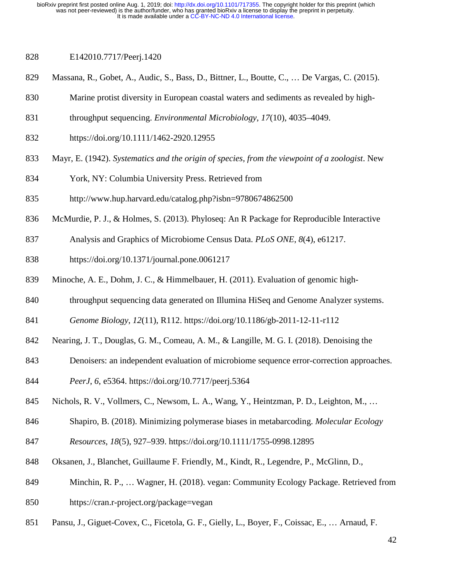- 828 E142010.7717/Peerj.1420
- 829 Massana, R., Gobet, A., Audic, S., Bass, D., Bittner, L., Boutte, C., … De Vargas, C. (2015).
- 830 Marine protist diversity in European coastal waters and sediments as revealed by high-
- 831 throughput sequencing. *Environmental Microbiology*, *17*(10), 4035–4049.
- 832 https://doi.org/10.1111/1462-2920.12955
- 833 Mayr, E. (1942). *Systematics and the origin of species, from the viewpoint of a zoologist*. New
- 834 York, NY: Columbia University Press. Retrieved from
- 835 http://www.hup.harvard.edu/catalog.php?isbn=9780674862500
- 836 McMurdie, P. J., & Holmes, S. (2013). Phyloseq: An R Package for Reproducible Interactive
- 837 Analysis and Graphics of Microbiome Census Data. *PLoS ONE*, *8*(4), e61217.
- 838 https://doi.org/10.1371/journal.pone.0061217
- 839 Minoche, A. E., Dohm, J. C., & Himmelbauer, H. (2011). Evaluation of genomic high-
- 840 throughput sequencing data generated on Illumina HiSeq and Genome Analyzer systems.
- 841 *Genome Biology*, *12*(11), R112. https://doi.org/10.1186/gb-2011-12-11-r112
- 842 Nearing, J. T., Douglas, G. M., Comeau, A. M., & Langille, M. G. I. (2018). Denoising the
- 843 Denoisers: an independent evaluation of microbiome sequence error-correction approaches.
- 844 *PeerJ*, *6*, e5364. https://doi.org/10.7717/peerj.5364
- 845 Nichols, R. V., Vollmers, C., Newsom, L. A., Wang, Y., Heintzman, P. D., Leighton, M., …
- 846 Shapiro, B. (2018). Minimizing polymerase biases in metabarcoding. *Molecular Ecology*
- 847 *Resources*, *18*(5), 927–939. https://doi.org/10.1111/1755-0998.12895
- 848 Oksanen, J., Blanchet, Guillaume F. Friendly, M., Kindt, R., Legendre, P., McGlinn, D.,
- 849 Minchin, R. P., … Wagner, H. (2018). vegan: Community Ecology Package. Retrieved from 850 https://cran.r-project.org/package=vegan
- 851 Pansu, J., Giguet-Covex, C., Ficetola, G. F., Gielly, L., Boyer, F., Coissac, E., … Arnaud, F.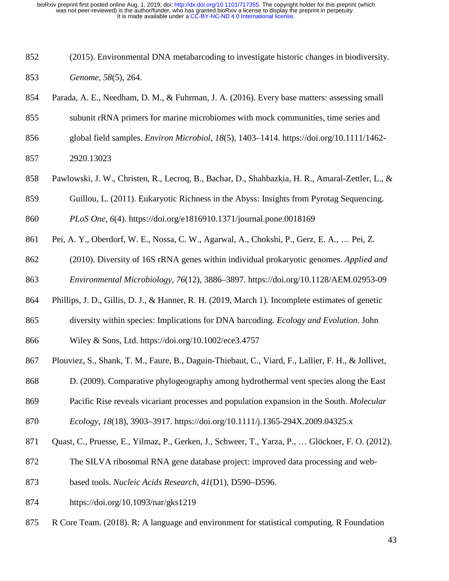- 852 (2015). Environmental DNA metabarcoding to investigate historic changes in biodiversity. 853 *Genome*, *58*(5), 264.
- 854 Parada, A. E., Needham, D. M., & Fuhrman, J. A. (2016). Every base matters: assessing small

855 subunit rRNA primers for marine microbiomes with mock communities, time series and

- 856 global field samples. *Environ Microbiol*, *18*(5), 1403–1414. https://doi.org/10.1111/1462- 857 2920.13023
- 858 Pawlowski, J. W., Christen, R., Lecroq, B., Bachar, D., Shahbazkia, H. R., Amaral-Zettler, L., &
- 859 Guillou, L. (2011). Eukaryotic Richness in the Abyss: Insights from Pyrotag Sequencing.

860 *PLoS One*, *6*(4). https://doi.org/e1816910.1371/journal.pone.0018169

- 861 Pei, A. Y., Oberdorf, W. E., Nossa, C. W., Agarwal, A., Chokshi, P., Gerz, E. A., … Pei, Z.
- 862 (2010). Diversity of 16S rRNA genes within individual prokaryotic genomes. *Applied and*  863 *Environmental Microbiology*, *76*(12), 3886–3897. https://doi.org/10.1128/AEM.02953-09
- 864 Phillips, J. D., Gillis, D. J., & Hanner, R. H. (2019, March 1). Incomplete estimates of genetic
- 865 diversity within species: Implications for DNA barcoding. *Ecology and Evolution*. John

866 Wiley & Sons, Ltd. https://doi.org/10.1002/ece3.4757

- 867 Plouviez, S., Shank, T. M., Faure, B., Daguin-Thiebaut, C., Viard, F., Lallier, F. H., & Jollivet,
- 868 D. (2009). Comparative phylogeography among hydrothermal vent species along the East
- 869 Pacific Rise reveals vicariant processes and population expansion in the South. *Molecular*

870 *Ecology*, *18*(18), 3903–3917. https://doi.org/10.1111/j.1365-294X.2009.04325.x

- 871 Quast, C., Pruesse, E., Yilmaz, P., Gerken, J., Schweer, T., Yarza, P., … Glöckner, F. O. (2012).
- 872 The SILVA ribosomal RNA gene database project: improved data processing and web-
- 873 based tools. *Nucleic Acids Research*, *41*(D1), D590–D596.
- 874 https://doi.org/10.1093/nar/gks1219
- 875 R Core Team. (2018). R: A language and environment for statistical computing. R Foundation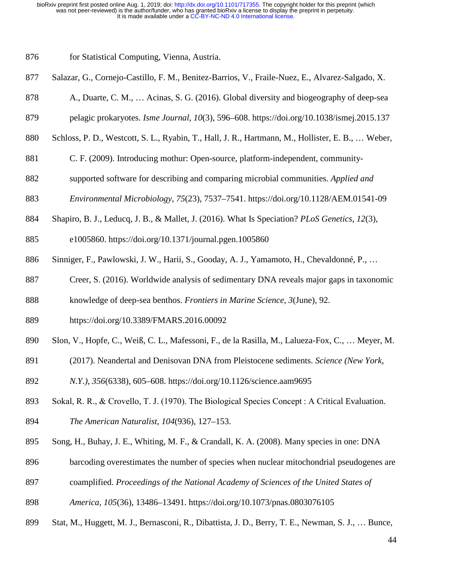876 for Statistical Computing, Vienna, Austria.

- 877 Salazar, G., Cornejo-Castillo, F. M., Benitez-Barrios, V., Fraile-Nuez, E., Alvarez-Salgado, X.
- 878 A., Duarte, C. M., … Acinas, S. G. (2016). Global diversity and biogeography of deep-sea
- 879 pelagic prokaryotes. *Isme Journal*, *10*(3), 596–608. https://doi.org/10.1038/ismej.2015.137
- 880 Schloss, P. D., Westcott, S. L., Ryabin, T., Hall, J. R., Hartmann, M., Hollister, E. B., … Weber,
- 881 C. F. (2009). Introducing mothur: Open-source, platform-independent, community-
- 882 supported software for describing and comparing microbial communities. *Applied and*
- 883 *Environmental Microbiology*, *75*(23), 7537–7541. https://doi.org/10.1128/AEM.01541-09
- 884 Shapiro, B. J., Leducq, J. B., & Mallet, J. (2016). What Is Speciation? *PLoS Genetics*, *12*(3),
- 885 e1005860. https://doi.org/10.1371/journal.pgen.1005860
- 886 Sinniger, F., Pawlowski, J. W., Harii, S., Gooday, A. J., Yamamoto, H., Chevaldonné, P., …
- 887 Creer, S. (2016). Worldwide analysis of sedimentary DNA reveals major gaps in taxonomic
- 888 knowledge of deep-sea benthos. *Frontiers in Marine Science*, *3*(June), 92.
- 889 https://doi.org/10.3389/FMARS.2016.00092
- 890 Slon, V., Hopfe, C., Weiß, C. L., Mafessoni, F., de la Rasilla, M., Lalueza-Fox, C., … Meyer, M.
- 891 (2017). Neandertal and Denisovan DNA from Pleistocene sediments. *Science (New York,*
- 892 *N.Y.)*, *356*(6338), 605–608. https://doi.org/10.1126/science.aam9695
- 893 Sokal, R. R., & Crovello, T. J. (1970). The Biological Species Concept : A Critical Evaluation. 894 *The American Naturalist*, *104*(936), 127–153.
- 895 Song, H., Buhay, J. E., Whiting, M. F., & Crandall, K. A. (2008). Many species in one: DNA
- 896 barcoding overestimates the number of species when nuclear mitochondrial pseudogenes are
- 897 coamplified. *Proceedings of the National Academy of Sciences of the United States of*
- 898 *America*, *105*(36), 13486–13491. https://doi.org/10.1073/pnas.0803076105
- 899 Stat, M., Huggett, M. J., Bernasconi, R., Dibattista, J. D., Berry, T. E., Newman, S. J., … Bunce,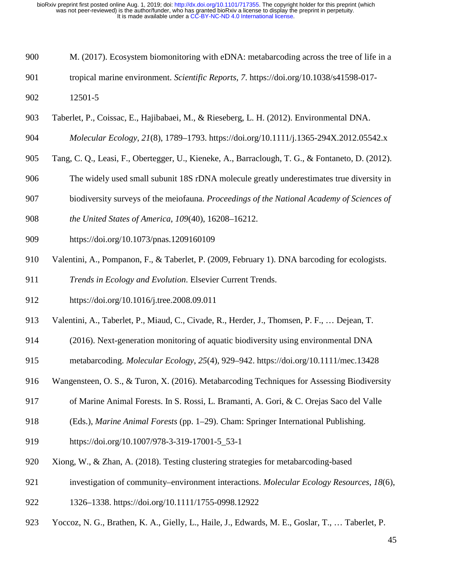- 900 M. (2017). Ecosystem biomonitoring with eDNA: metabarcoding across the tree of life in a
- 901 tropical marine environment. *Scientific Reports*, *7*. https://doi.org/10.1038/s41598-017-
- 902 12501-5
- 903 Taberlet, P., Coissac, E., Hajibabaei, M., & Rieseberg, L. H. (2012). Environmental DNA.

904 *Molecular Ecology*, *21*(8), 1789–1793. https://doi.org/10.1111/j.1365-294X.2012.05542.x

- 905 Tang, C. Q., Leasi, F., Obertegger, U., Kieneke, A., Barraclough, T. G., & Fontaneto, D. (2012).
- 906 The widely used small subunit 18S rDNA molecule greatly underestimates true diversity in
- 907 biodiversity surveys of the meiofauna. *Proceedings of the National Academy of Sciences of*
- 908 *the United States of America*, *109*(40), 16208–16212.
- 909 https://doi.org/10.1073/pnas.1209160109
- 910 Valentini, A., Pompanon, F., & Taberlet, P. (2009, February 1). DNA barcoding for ecologists.
- 911 *Trends in Ecology and Evolution*. Elsevier Current Trends.
- 912 https://doi.org/10.1016/j.tree.2008.09.011
- 913 Valentini, A., Taberlet, P., Miaud, C., Civade, R., Herder, J., Thomsen, P. F., … Dejean, T.
- 914 (2016). Next-generation monitoring of aquatic biodiversity using environmental DNA
- 915 metabarcoding. *Molecular Ecology*, *25*(4), 929–942. https://doi.org/10.1111/mec.13428
- 916 Wangensteen, O. S., & Turon, X. (2016). Metabarcoding Techniques for Assessing Biodiversity
- 917 of Marine Animal Forests. In S. Rossi, L. Bramanti, A. Gori, & C. Orejas Saco del Valle
- 918 (Eds.), *Marine Animal Forests* (pp. 1–29). Cham: Springer International Publishing.
- 919 https://doi.org/10.1007/978-3-319-17001-5\_53-1
- 920 Xiong, W., & Zhan, A. (2018). Testing clustering strategies for metabarcoding-based
- 921 investigation of community–environment interactions. *Molecular Ecology Resources*, *18*(6),
- 922 1326–1338. https://doi.org/10.1111/1755-0998.12922
- 923 Yoccoz, N. G., Brathen, K. A., Gielly, L., Haile, J., Edwards, M. E., Goslar, T., … Taberlet, P.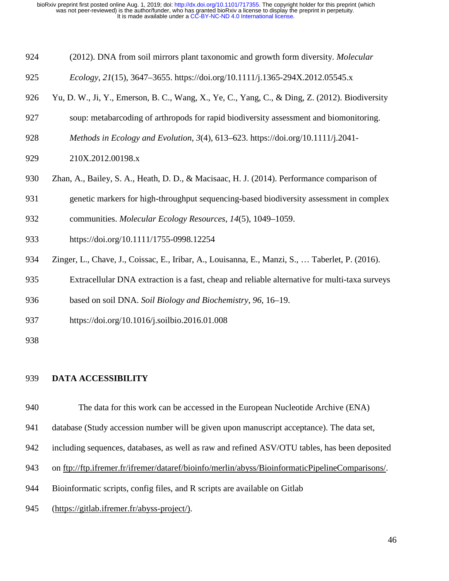- 924 (2012). DNA from soil mirrors plant taxonomic and growth form diversity. *Molecular*
- 925 *Ecology*, *21*(15), 3647–3655. https://doi.org/10.1111/j.1365-294X.2012.05545.x
- 926 Yu, D. W., Ji, Y., Emerson, B. C., Wang, X., Ye, C., Yang, C., & Ding, Z. (2012). Biodiversity
- 927 soup: metabarcoding of arthropods for rapid biodiversity assessment and biomonitoring.
- 928 *Methods in Ecology and Evolution*, *3*(4), 613–623. https://doi.org/10.1111/j.2041-
- 929 210X.2012.00198.x
- 930 Zhan, A., Bailey, S. A., Heath, D. D., & Macisaac, H. J. (2014). Performance comparison of
- 931 genetic markers for high-throughput sequencing-based biodiversity assessment in complex
- 932 communities. *Molecular Ecology Resources*, *14*(5), 1049–1059.
- 933 https://doi.org/10.1111/1755-0998.12254
- 934 Zinger, L., Chave, J., Coissac, E., Iribar, A., Louisanna, E., Manzi, S., … Taberlet, P. (2016).
- 935 Extracellular DNA extraction is a fast, cheap and reliable alternative for multi-taxa surveys
- 936 based on soil DNA. *Soil Biology and Biochemistry*, *96*, 16–19.
- 937 https://doi.org/10.1016/j.soilbio.2016.01.008
- 938

#### 939 **DATA ACCESSIBILITY**

- 940 The data for this work can be accessed in the European Nucleotide Archive (ENA)
- 941 database (Study accession number will be given upon manuscript acceptance). The data set,
- 942 including sequences, databases, as well as raw and refined ASV/OTU tables, has been deposited
- 943 on [ftp://ftp.ifremer.fr/ifremer/dataref/bioinfo/merlin/abyss/BioinformaticPipelineComparisons/.](ftp://ftp.ifremer.fr/ifremer/dataref/bioinfo/merlin/abyss/BioinformaticPipelineComparisons/)
- 944 Bioinformatic scripts, config files, and R scripts are available on Gitlab
- 945 (https://gitlab.ifremer.fr/abyss-project/).